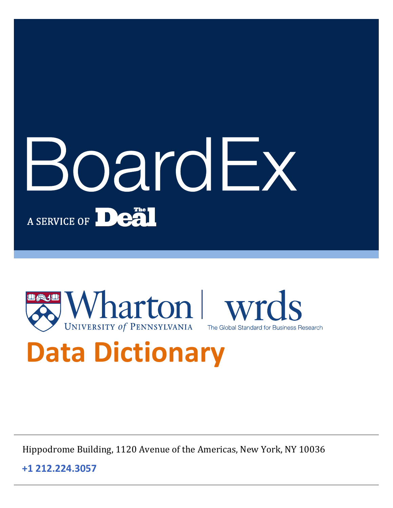



# **Data Dictionary**

Hippodrome Building, 1120 Avenue of the Americas, New York, NY 10036

**+1 212.224.3057**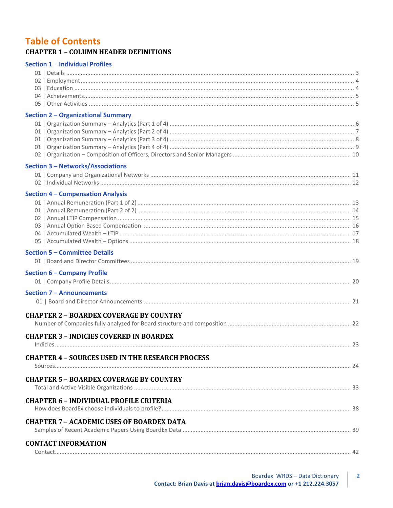### **Table of Contents**

#### **CHAPTER 1 - COLUMN HEADER DEFINITIONS**

#### Section 1 - Individual Profiles

#### **Section 2 - Organizational Summary**

#### **Section 3 - Networks/Associations**

#### **Section 4 - Compensation Analysis**

| <b>Section 5 – Committee Details</b>                    |  |
|---------------------------------------------------------|--|
|                                                         |  |
| <b>Section 6 – Company Profile</b>                      |  |
| <b>Section 7 - Announcements</b>                        |  |
|                                                         |  |
| <b>CHAPTER 2 - BOARDEX COVERAGE BY COUNTRY</b>          |  |
| <b>CHAPTER 3 - INDICIES COVERED IN BOARDEX</b>          |  |
| <b>CHAPTER 4 - SOURCES USED IN THE RESEARCH PROCESS</b> |  |
|                                                         |  |
| <b>CHAPTER 5 - BOARDEX COVERAGE BY COUNTRY</b>          |  |
| <b>CHAPTER 6 - INDIVIDUAL PROFILE CRITERIA</b>          |  |
| <b>CHAPTER 7 - ACADEMIC USES OF BOARDEX DATA</b>        |  |

#### **CONTACT INFORMATION**

 $\overline{2}$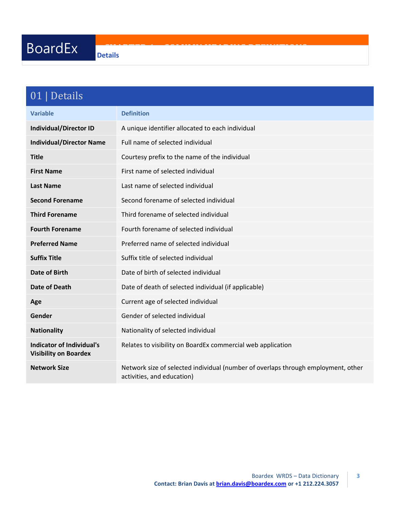# **BoardEx**

| 01   Details                                                     |                                                                                                                 |
|------------------------------------------------------------------|-----------------------------------------------------------------------------------------------------------------|
| <b>Variable</b>                                                  | <b>Definition</b>                                                                                               |
| <b>Individual/Director ID</b>                                    | A unique identifier allocated to each individual                                                                |
| <b>Individual/Director Name</b>                                  | Full name of selected individual                                                                                |
| <b>Title</b>                                                     | Courtesy prefix to the name of the individual                                                                   |
| <b>First Name</b>                                                | First name of selected individual                                                                               |
| <b>Last Name</b>                                                 | Last name of selected individual                                                                                |
| <b>Second Forename</b>                                           | Second forename of selected individual                                                                          |
| <b>Third Forename</b>                                            | Third forename of selected individual                                                                           |
| <b>Fourth Forename</b>                                           | Fourth forename of selected individual                                                                          |
| <b>Preferred Name</b>                                            | Preferred name of selected individual                                                                           |
| <b>Suffix Title</b>                                              | Suffix title of selected individual                                                                             |
| <b>Date of Birth</b>                                             | Date of birth of selected individual                                                                            |
| <b>Date of Death</b>                                             | Date of death of selected individual (if applicable)                                                            |
| Age                                                              | Current age of selected individual                                                                              |
| Gender                                                           | Gender of selected individual                                                                                   |
| <b>Nationality</b>                                               | Nationality of selected individual                                                                              |
| <b>Indicator of Individual's</b><br><b>Visibility on Boardex</b> | Relates to visibility on BoardEx commercial web application                                                     |
| <b>Network Size</b>                                              | Network size of selected individual (number of overlaps through employment, other<br>activities, and education) |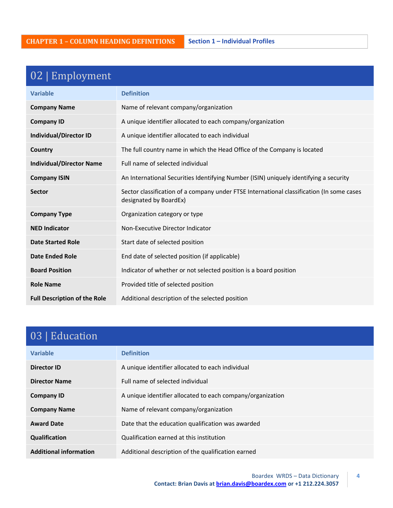| 02   Employment |  |
|-----------------|--|
|                 |  |

| <b>Variable</b>                     | <b>Definition</b>                                                                                                   |
|-------------------------------------|---------------------------------------------------------------------------------------------------------------------|
| <b>Company Name</b>                 | Name of relevant company/organization                                                                               |
| <b>Company ID</b>                   | A unique identifier allocated to each company/organization                                                          |
| <b>Individual/Director ID</b>       | A unique identifier allocated to each individual                                                                    |
| Country                             | The full country name in which the Head Office of the Company is located                                            |
| <b>Individual/Director Name</b>     | Full name of selected individual                                                                                    |
| <b>Company ISIN</b>                 | An International Securities Identifying Number (ISIN) uniquely identifying a security                               |
| <b>Sector</b>                       | Sector classification of a company under FTSE International classification (In some cases<br>designated by BoardEx) |
| <b>Company Type</b>                 | Organization category or type                                                                                       |
| <b>NED Indicator</b>                | Non-Executive Director Indicator                                                                                    |
| <b>Date Started Role</b>            | Start date of selected position                                                                                     |
| <b>Date Ended Role</b>              | End date of selected position (if applicable)                                                                       |
| <b>Board Position</b>               | Indicator of whether or not selected position is a board position                                                   |
| <b>Role Name</b>                    | Provided title of selected position                                                                                 |
| <b>Full Description of the Role</b> | Additional description of the selected position                                                                     |

## 03 | Education

| $\sigma$ $\sigma$ $\mu$ and $\sigma$ and $\sigma$ |                                                            |
|---------------------------------------------------|------------------------------------------------------------|
| <b>Variable</b>                                   | <b>Definition</b>                                          |
| <b>Director ID</b>                                | A unique identifier allocated to each individual           |
| <b>Director Name</b>                              | Full name of selected individual                           |
| <b>Company ID</b>                                 | A unique identifier allocated to each company/organization |
| <b>Company Name</b>                               | Name of relevant company/organization                      |
| <b>Award Date</b>                                 | Date that the education qualification was awarded          |
| <b>Qualification</b>                              | Qualification earned at this institution                   |
| <b>Additional information</b>                     | Additional description of the qualification earned         |

**4**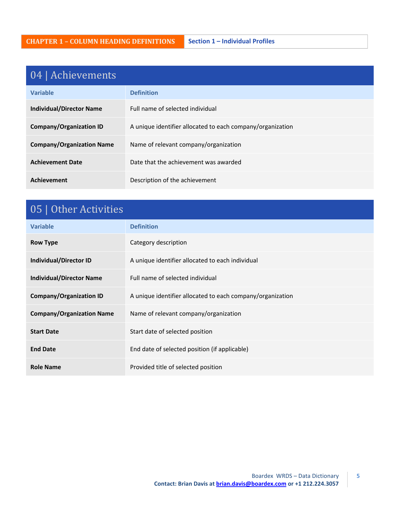#### **CHAPTER 1 – COLUMN HEADING DEFINITIONS Section 1 – Individual Profiles**

| 04   Achievements                |                                                            |  |
|----------------------------------|------------------------------------------------------------|--|
| <b>Variable</b>                  | <b>Definition</b>                                          |  |
| <b>Individual/Director Name</b>  | Full name of selected individual                           |  |
| <b>Company/Organization ID</b>   | A unique identifier allocated to each company/organization |  |
| <b>Company/Organization Name</b> | Name of relevant company/organization                      |  |
| <b>Achievement Date</b>          | Date that the achievement was awarded                      |  |
| <b>Achievement</b>               | Description of the achievement                             |  |

# 05 | Other Activities

| <b>Variable</b>                  | <b>Definition</b>                                          |
|----------------------------------|------------------------------------------------------------|
| <b>Row Type</b>                  | Category description                                       |
| <b>Individual/Director ID</b>    | A unique identifier allocated to each individual           |
| <b>Individual/Director Name</b>  | Full name of selected individual                           |
| <b>Company/Organization ID</b>   | A unique identifier allocated to each company/organization |
| <b>Company/Organization Name</b> | Name of relevant company/organization                      |
| <b>Start Date</b>                | Start date of selected position                            |
| <b>End Date</b>                  | End date of selected position (if applicable)              |
| <b>Role Name</b>                 | Provided title of selected position                        |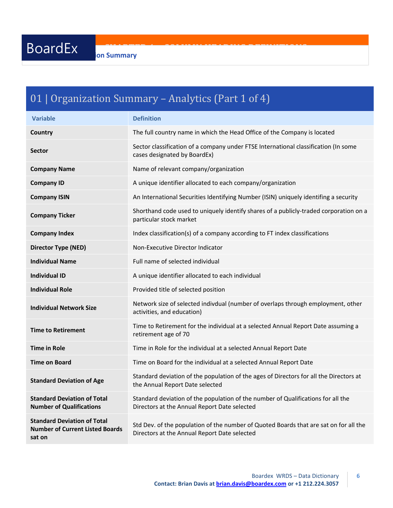# 01 | Organization Summary - Analytics (Part 1 of 4)

| <b>Variable</b>                                                                        | <b>Definition</b>                                                                                                                     |
|----------------------------------------------------------------------------------------|---------------------------------------------------------------------------------------------------------------------------------------|
| <b>Country</b>                                                                         | The full country name in which the Head Office of the Company is located                                                              |
| <b>Sector</b>                                                                          | Sector classification of a company under FTSE International classification (In some<br>cases designated by BoardEx)                   |
| <b>Company Name</b>                                                                    | Name of relevant company/organization                                                                                                 |
| <b>Company ID</b>                                                                      | A unique identifier allocated to each company/organization                                                                            |
| <b>Company ISIN</b>                                                                    | An International Securities Identifying Number (ISIN) uniquely identifing a security                                                  |
| <b>Company Ticker</b>                                                                  | Shorthand code used to uniquely identify shares of a publicly-traded corporation on a<br>particular stock market                      |
| <b>Company Index</b>                                                                   | Index classification(s) of a company according to FT index classifications                                                            |
| <b>Director Type (NED)</b>                                                             | Non-Executive Director Indicator                                                                                                      |
| <b>Individual Name</b>                                                                 | Full name of selected individual                                                                                                      |
| <b>Individual ID</b>                                                                   | A unique identifier allocated to each individual                                                                                      |
| <b>Individual Role</b>                                                                 | Provided title of selected position                                                                                                   |
| <b>Individual Network Size</b>                                                         | Network size of selected indivdual (number of overlaps through employment, other<br>activities, and education)                        |
| <b>Time to Retirement</b>                                                              | Time to Retirement for the individual at a selected Annual Report Date assuming a<br>retirement age of 70                             |
| <b>Time in Role</b>                                                                    | Time in Role for the individual at a selected Annual Report Date                                                                      |
| <b>Time on Board</b>                                                                   | Time on Board for the individual at a selected Annual Report Date                                                                     |
| <b>Standard Deviation of Age</b>                                                       | Standard deviation of the population of the ages of Directors for all the Directors at<br>the Annual Report Date selected             |
| <b>Standard Deviation of Total</b><br><b>Number of Qualifications</b>                  | Standard deviation of the population of the number of Qualifications for all the<br>Directors at the Annual Report Date selected      |
| <b>Standard Deviation of Total</b><br><b>Number of Current Listed Boards</b><br>sat on | Std Dev. of the population of the number of Quoted Boards that are sat on for all the<br>Directors at the Annual Report Date selected |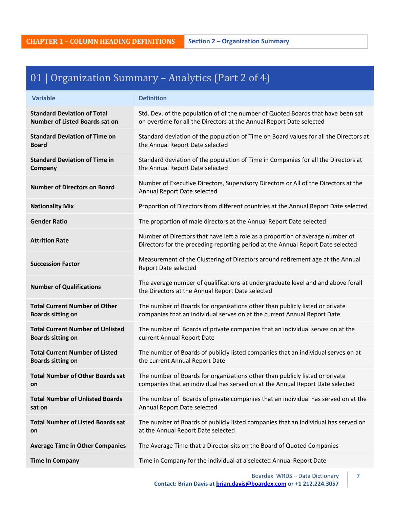# 01 | Organization Summary - Analytics (Part 2 of 4)

| <b>Variable</b>                          | <b>Definition</b>                                                                                                                                                 |
|------------------------------------------|-------------------------------------------------------------------------------------------------------------------------------------------------------------------|
| <b>Standard Deviation of Total</b>       | Std. Dev. of the population of of the number of Quoted Boards that have been sat                                                                                  |
| <b>Number of Listed Boards sat on</b>    | on overtime for all the Directors at the Annual Report Date selected                                                                                              |
| <b>Standard Deviation of Time on</b>     | Standard deviation of the population of Time on Board values for all the Directors at                                                                             |
| <b>Board</b>                             | the Annual Report Date selected                                                                                                                                   |
| <b>Standard Deviation of Time in</b>     | Standard deviation of the population of Time in Companies for all the Directors at                                                                                |
| Company                                  | the Annual Report Date selected                                                                                                                                   |
| <b>Number of Directors on Board</b>      | Number of Executive Directors, Supervisory Directors or All of the Directors at the<br>Annual Report Date selected                                                |
| <b>Nationality Mix</b>                   | Proportion of Directors from different countries at the Annual Report Date selected                                                                               |
| <b>Gender Ratio</b>                      | The proportion of male directors at the Annual Report Date selected                                                                                               |
| <b>Attrition Rate</b>                    | Number of Directors that have left a role as a proportion of average number of<br>Directors for the preceding reporting period at the Annual Report Date selected |
| <b>Succession Factor</b>                 | Measurement of the Clustering of Directors around retirement age at the Annual<br><b>Report Date selected</b>                                                     |
| <b>Number of Qualifications</b>          | The average number of qualifications at undergraduate level and and above forall<br>the Directors at the Annual Report Date selected                              |
| <b>Total Current Number of Other</b>     | The number of Boards for organizations other than publicly listed or private                                                                                      |
| <b>Boards sitting on</b>                 | companies that an individual serves on at the current Annual Report Date                                                                                          |
| <b>Total Current Number of Unlisted</b>  | The number of Boards of private companies that an individual serves on at the                                                                                     |
| <b>Boards sitting on</b>                 | current Annual Report Date                                                                                                                                        |
| <b>Total Current Number of Listed</b>    | The number of Boards of publicly listed companies that an individual serves on at                                                                                 |
| <b>Boards sitting on</b>                 | the current Annual Report Date                                                                                                                                    |
| <b>Total Number of Other Boards sat</b>  | The number of Boards for organizations other than publicly listed or private                                                                                      |
| on                                       | companies that an individual has served on at the Annual Report Date selected                                                                                     |
| <b>Total Number of Unlisted Boards</b>   | The number of Boards of private companies that an individual has served on at the                                                                                 |
| sat on                                   | Annual Report Date selected                                                                                                                                       |
| <b>Total Number of Listed Boards sat</b> | The number of Boards of publicly listed companies that an individual has served on                                                                                |
| on                                       | at the Annual Report Date selected                                                                                                                                |
| <b>Average Time in Other Companies</b>   | The Average Time that a Director sits on the Board of Quoted Companies                                                                                            |
| <b>Time In Company</b>                   | Time in Company for the individual at a selected Annual Report Date                                                                                               |

**7**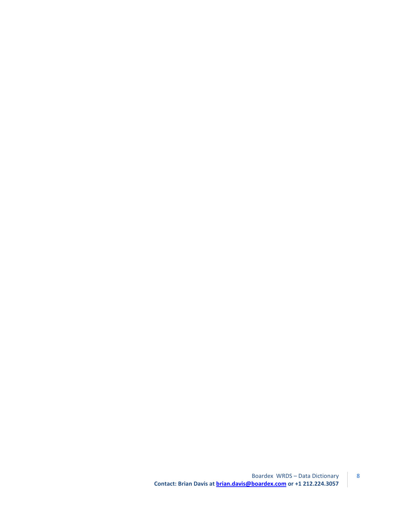**8**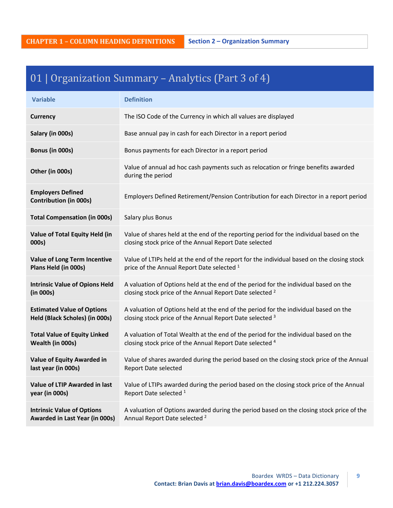# 01 | Organization Summary - Analytics (Part 3 of 4)

| <b>Variable</b>                                           | <b>Definition</b>                                                                                       |
|-----------------------------------------------------------|---------------------------------------------------------------------------------------------------------|
| <b>Currency</b>                                           | The ISO Code of the Currency in which all values are displayed                                          |
| Salary (in 000s)                                          | Base annual pay in cash for each Director in a report period                                            |
| Bonus (in 000s)                                           | Bonus payments for each Director in a report period                                                     |
| Other (in 000s)                                           | Value of annual ad hoc cash payments such as relocation or fringe benefits awarded<br>during the period |
| <b>Employers Defined</b><br><b>Contribution (in 000s)</b> | Employers Defined Retirement/Pension Contribution for each Director in a report period                  |
| <b>Total Compensation (in 000s)</b>                       | Salary plus Bonus                                                                                       |
| Value of Total Equity Held (in                            | Value of shares held at the end of the reporting period for the individual based on the                 |
| 000s)                                                     | closing stock price of the Annual Report Date selected                                                  |
| <b>Value of Long Term Incentive</b>                       | Value of LTIPs held at the end of the report for the individual based on the closing stock              |
| Plans Held (in 000s)                                      | price of the Annual Report Date selected <sup>1</sup>                                                   |
| <b>Intrinsic Value of Opions Held</b>                     | A valuation of Options held at the end of the period for the individual based on the                    |
| (in 000s)                                                 | closing stock price of the Annual Report Date selected <sup>2</sup>                                     |
| <b>Estimated Value of Options</b>                         | A valuation of Options held at the end of the period for the individual based on the                    |
| Held (Black Scholes) (in 000s)                            | closing stock price of the Annual Report Date selected 3                                                |
| <b>Total Value of Equity Linked</b>                       | A valuation of Total Wealth at the end of the period for the individual based on the                    |
| Wealth (in 000s)                                          | closing stock price of the Annual Report Date selected 4                                                |
| Value of Equity Awarded in                                | Value of shares awarded during the period based on the closing stock price of the Annual                |
| last year (in 000s)                                       | <b>Report Date selected</b>                                                                             |
| Value of LTIP Awarded in last                             | Value of LTIPs awarded during the period based on the closing stock price of the Annual                 |
| year (in 000s)                                            | Report Date selected <sup>1</sup>                                                                       |
| <b>Intrinsic Value of Options</b>                         | A valuation of Options awarded during the period based on the closing stock price of the                |
| Awarded in Last Year (in 000s)                            | Annual Report Date selected <sup>2</sup>                                                                |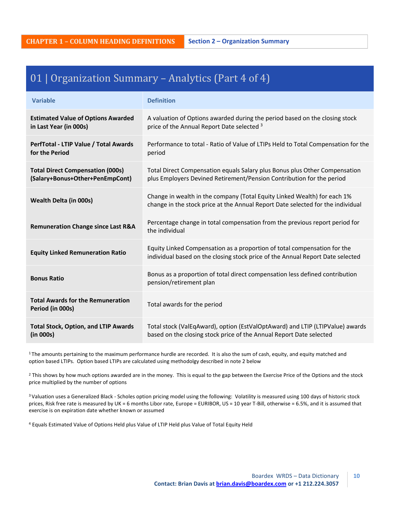# 01 | Organization Summary - Analytics (Part 4 of 4)

| <b>Variable</b>                                                            | <b>Definition</b>                                                                                                                                           |
|----------------------------------------------------------------------------|-------------------------------------------------------------------------------------------------------------------------------------------------------------|
| <b>Estimated Value of Options Awarded</b><br>in Last Year (in 000s)        | A valuation of Options awarded during the period based on the closing stock<br>price of the Annual Report Date selected 3                                   |
| PerfTotal - LTIP Value / Total Awards<br>for the Period                    | Performance to total - Ratio of Value of LTIPs Held to Total Compensation for the<br>period                                                                 |
| <b>Total Direct Compensation (000s)</b><br>(Salary+Bonus+Other+PenEmpCont) | Total Direct Compensation equals Salary plus Bonus plus Other Compensation<br>plus Employers Devined Retirement/Pension Contribution for the period         |
| <b>Wealth Delta (in 000s)</b>                                              | Change in wealth in the company (Total Equity Linked Wealth) for each 1%<br>change in the stock price at the Annual Report Date selected for the individual |
| <b>Remuneration Change since Last R&amp;A</b>                              | Percentage change in total compensation from the previous report period for<br>the individual                                                               |
| <b>Equity Linked Remuneration Ratio</b>                                    | Equity Linked Compensation as a proportion of total compensation for the<br>individual based on the closing stock price of the Annual Report Date selected  |
| <b>Bonus Ratio</b>                                                         | Bonus as a proportion of total direct compensation less defined contribution<br>pension/retirement plan                                                     |
| <b>Total Awards for the Remuneration</b><br>Period (in 000s)               | Total awards for the period                                                                                                                                 |
| <b>Total Stock, Option, and LTIP Awards</b><br>(in 000s)                   | Total stock (ValEqAward), option (EstValOptAward) and LTIP (LTIPValue) awards<br>based on the closing stock price of the Annual Report Date selected        |

<sup>1</sup>The amounts pertaining to the maximum performance hurdle are recorded. It is also the sum of cash, equity, and equity matched and option based LTIPs. Option based LTIPs are calculated using methodolgy described in note 2 below

<sup>2</sup> This shows by how much options awarded are in the money. This is equal to the gap between the Exercise Price of the Options and the stock price multiplied by the number of options

<sup>3</sup> Valuation uses a Generalized Black - Scholes option pricing model using the following: Volatility is measured using 100 days of historic stock prices, Risk free rate is measured by UK = 6 months Libor rate, Europe = EURIBOR, US = 10 year T-Bill, otherwise = 6.5%, and it is assumed that exercise is on expiration date whether known or assumed

4 Equals Estimated Value of Options Held plus Value of LTIP Held plus Value of Total Equity Held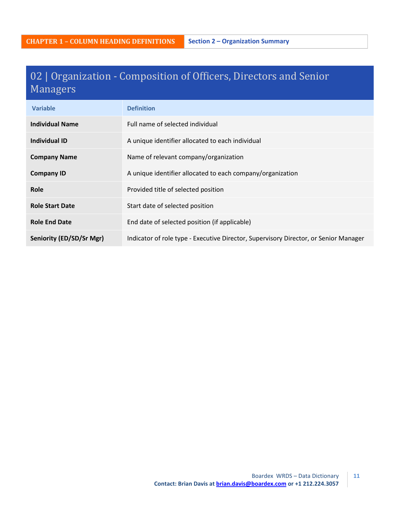## 02 | Organization - Composition of Officers, Directors and Senior Managers

| <b>Variable</b>          | <b>Definition</b>                                                                    |
|--------------------------|--------------------------------------------------------------------------------------|
| <b>Individual Name</b>   | Full name of selected individual                                                     |
| <b>Individual ID</b>     | A unique identifier allocated to each individual                                     |
| <b>Company Name</b>      | Name of relevant company/organization                                                |
| <b>Company ID</b>        | A unique identifier allocated to each company/organization                           |
| <b>Role</b>              | Provided title of selected position                                                  |
| <b>Role Start Date</b>   | Start date of selected position                                                      |
| <b>Role End Date</b>     | End date of selected position (if applicable)                                        |
| Seniority (ED/SD/Sr Mgr) | Indicator of role type - Executive Director, Supervisory Director, or Senior Manager |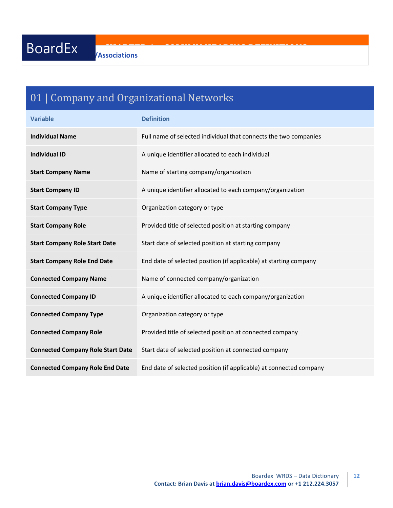# 01 | Company and Organizational Networks

| <b>Variable</b>                          | <b>Definition</b>                                                  |
|------------------------------------------|--------------------------------------------------------------------|
| <b>Individual Name</b>                   | Full name of selected individual that connects the two companies   |
| <b>Individual ID</b>                     | A unique identifier allocated to each individual                   |
| <b>Start Company Name</b>                | Name of starting company/organization                              |
| <b>Start Company ID</b>                  | A unique identifier allocated to each company/organization         |
| <b>Start Company Type</b>                | Organization category or type                                      |
| <b>Start Company Role</b>                | Provided title of selected position at starting company            |
| <b>Start Company Role Start Date</b>     | Start date of selected position at starting company                |
| <b>Start Company Role End Date</b>       | End date of selected position (if applicable) at starting company  |
| <b>Connected Company Name</b>            | Name of connected company/organization                             |
| <b>Connected Company ID</b>              | A unique identifier allocated to each company/organization         |
| <b>Connected Company Type</b>            | Organization category or type                                      |
| <b>Connected Company Role</b>            | Provided title of selected position at connected company           |
| <b>Connected Company Role Start Date</b> | Start date of selected position at connected company               |
| <b>Connected Company Role End Date</b>   | End date of selected position (if applicable) at connected company |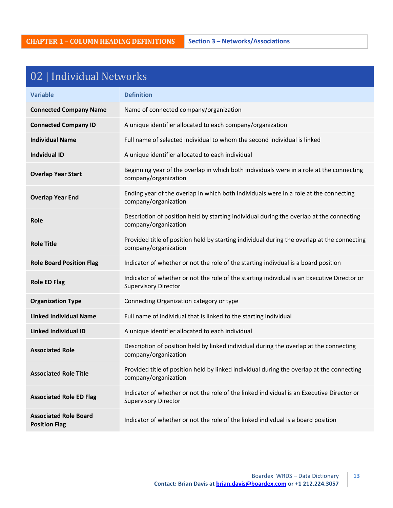## 02 | Individual Networks

| <b>Variable</b>                                      | <b>Definition</b>                                                                                                          |
|------------------------------------------------------|----------------------------------------------------------------------------------------------------------------------------|
| <b>Connected Company Name</b>                        | Name of connected company/organization                                                                                     |
| <b>Connected Company ID</b>                          | A unique identifier allocated to each company/organization                                                                 |
| <b>Individual Name</b>                               | Full name of selected individual to whom the second individual is linked                                                   |
| <b>Indvidual ID</b>                                  | A unique identifier allocated to each individual                                                                           |
| <b>Overlap Year Start</b>                            | Beginning year of the overlap in which both individuals were in a role at the connecting<br>company/organization           |
| <b>Overlap Year End</b>                              | Ending year of the overlap in which both individuals were in a role at the connecting<br>company/organization              |
| Role                                                 | Description of position held by starting individual during the overlap at the connecting<br>company/organization           |
| <b>Role Title</b>                                    | Provided title of position held by starting individual during the overlap at the connecting<br>company/organization        |
| <b>Role Board Position Flag</b>                      | Indicator of whether or not the role of the starting indivdual is a board position                                         |
| <b>Role ED Flag</b>                                  | Indicator of whether or not the role of the starting individual is an Executive Director or<br><b>Supervisory Director</b> |
| <b>Organization Type</b>                             | Connecting Organization category or type                                                                                   |
| <b>Linked Individual Name</b>                        | Full name of individual that is linked to the starting individual                                                          |
| <b>Linked Individual ID</b>                          | A unique identifier allocated to each individual                                                                           |
| <b>Associated Role</b>                               | Description of position held by linked individual during the overlap at the connecting<br>company/organization             |
| <b>Associated Role Title</b>                         | Provided title of position held by linked individual during the overlap at the connecting<br>company/organization          |
| <b>Associated Role ED Flag</b>                       | Indicator of whether or not the role of the linked individual is an Executive Director or<br><b>Supervisory Director</b>   |
| <b>Associated Role Board</b><br><b>Position Flag</b> | Indicator of whether or not the role of the linked indivdual is a board position                                           |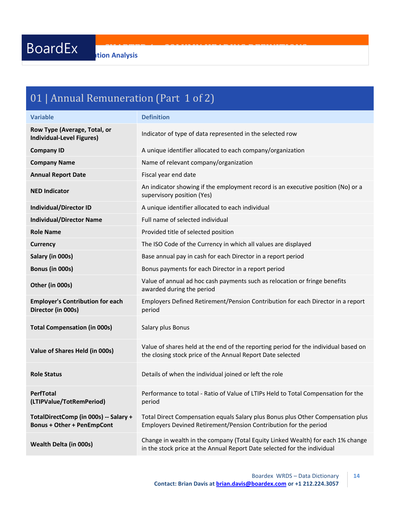# 01 | Annual Remuneration (Part 1 of 2)

| <b>Variable</b>                                                            | <b>Definition</b>                                                                                                                                           |
|----------------------------------------------------------------------------|-------------------------------------------------------------------------------------------------------------------------------------------------------------|
| Row Type (Average, Total, or<br>Individual-Level Figures)                  | Indicator of type of data represented in the selected row                                                                                                   |
| <b>Company ID</b>                                                          | A unique identifier allocated to each company/organization                                                                                                  |
| <b>Company Name</b>                                                        | Name of relevant company/organization                                                                                                                       |
| <b>Annual Report Date</b>                                                  | Fiscal year end date                                                                                                                                        |
| <b>NED Indicator</b>                                                       | An indicator showing if the employment record is an executive position (No) or a<br>supervisory position (Yes)                                              |
| <b>Individual/Director ID</b>                                              | A unique identifier allocated to each individual                                                                                                            |
| <b>Individual/Director Name</b>                                            | Full name of selected individual                                                                                                                            |
| <b>Role Name</b>                                                           | Provided title of selected position                                                                                                                         |
| <b>Currency</b>                                                            | The ISO Code of the Currency in which all values are displayed                                                                                              |
| Salary (in 000s)                                                           | Base annual pay in cash for each Director in a report period                                                                                                |
| Bonus (in 000s)                                                            | Bonus payments for each Director in a report period                                                                                                         |
| Other (in 000s)                                                            | Value of annual ad hoc cash payments such as relocation or fringe benefits<br>awarded during the period                                                     |
| <b>Employer's Contribution for each</b><br>Director (in 000s)              | Employers Defined Retirement/Pension Contribution for each Director in a report<br>period                                                                   |
| <b>Total Compensation (in 000s)</b>                                        | Salary plus Bonus                                                                                                                                           |
| Value of Shares Held (in 000s)                                             | Value of shares held at the end of the reporting period for the individual based on<br>the closing stock price of the Annual Report Date selected           |
| <b>Role Status</b>                                                         | Details of when the individual joined or left the role                                                                                                      |
| <b>PerfTotal</b><br>(LTIPValue/TotRemPeriod)                               | Performance to total - Ratio of Value of LTIPs Held to Total Compensation for the<br>period                                                                 |
| TotalDirectComp (in 000s) -- Salary +<br><b>Bonus + Other + PenEmpCont</b> | Total Direct Compensation equals Salary plus Bonus plus Other Compensation plus<br>Employers Devined Retirement/Pension Contribution for the period         |
| <b>Wealth Delta (in 000s)</b>                                              | Change in wealth in the company (Total Equity Linked Wealth) for each 1% change<br>in the stock price at the Annual Report Date selected for the individual |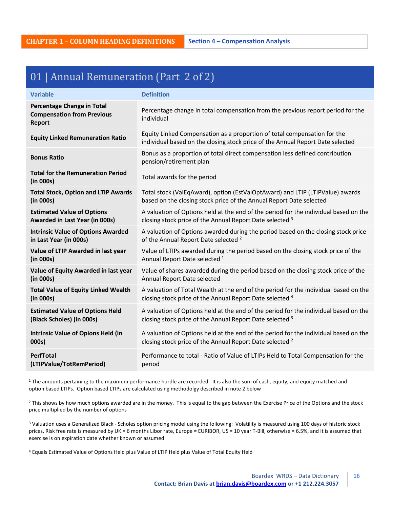## 01 | Annual Remuneration (Part 2 of 2)

| <b>Variable</b>                                                                         | <b>Definition</b>                                                                                                                                          |
|-----------------------------------------------------------------------------------------|------------------------------------------------------------------------------------------------------------------------------------------------------------|
| <b>Percentage Change in Total</b><br><b>Compensation from Previous</b><br><b>Report</b> | Percentage change in total compensation from the previous report period for the<br>individual                                                              |
| <b>Equity Linked Remuneration Ratio</b>                                                 | Equity Linked Compensation as a proportion of total compensation for the<br>individual based on the closing stock price of the Annual Report Date selected |
| <b>Bonus Ratio</b>                                                                      | Bonus as a proportion of total direct compensation less defined contribution<br>pension/retirement plan                                                    |
| <b>Total for the Remuneration Period</b><br>(in 000s)                                   | Total awards for the period                                                                                                                                |
| <b>Total Stock, Option and LTIP Awards</b>                                              | Total stock (ValEqAward), option (EstValOptAward) and LTIP (LTIPValue) awards                                                                              |
| (in 000s)                                                                               | based on the closing stock price of the Annual Report Date selected                                                                                        |
| <b>Estimated Value of Options</b>                                                       | A valuation of Options held at the end of the period for the individual based on the                                                                       |
| Awarded in Last Year (in 000s)                                                          | closing stock price of the Annual Report Date selected 3                                                                                                   |
| <b>Intrinsic Value of Options Awarded</b>                                               | A valuation of Options awarded during the period based on the closing stock price                                                                          |
| in Last Year (in 000s)                                                                  | of the Annual Report Date selected <sup>2</sup>                                                                                                            |
| Value of LTIP Awarded in last year                                                      | Value of LTIPs awarded during the period based on the closing stock price of the                                                                           |
| (in 000s)                                                                               | Annual Report Date selected <sup>1</sup>                                                                                                                   |
| Value of Equity Awarded in last year                                                    | Value of shares awarded during the period based on the closing stock price of the                                                                          |
| (in 000s)                                                                               | Annual Report Date selected                                                                                                                                |
| <b>Total Value of Equity Linked Wealth</b>                                              | A valuation of Total Wealth at the end of the period for the individual based on the                                                                       |
| (in 000s)                                                                               | closing stock price of the Annual Report Date selected 4                                                                                                   |
| <b>Estimated Value of Options Held</b>                                                  | A valuation of Options held at the end of the period for the individual based on the                                                                       |
| (Black Scholes) (in 000s)                                                               | closing stock price of the Annual Report Date selected 3                                                                                                   |
| <b>Intrinsic Value of Opions Held (in</b>                                               | A valuation of Options held at the end of the period for the individual based on the                                                                       |
| 000s)                                                                                   | closing stock price of the Annual Report Date selected <sup>2</sup>                                                                                        |
| <b>PerfTotal</b>                                                                        | Performance to total - Ratio of Value of LTIPs Held to Total Compensation for the                                                                          |
| (LTIPValue/TotRemPeriod)                                                                | period                                                                                                                                                     |

<sup>1</sup> The amounts pertaining to the maximum performance hurdle are recorded. It is also the sum of cash, equity, and equity matched and option based LTIPs. Option based LTIPs are calculated using methodolgy described in note 2 below

<sup>2</sup> This shows by how much options awarded are in the money. This is equal to the gap between the Exercise Price of the Options and the stock price multiplied by the number of options

<sup>3</sup> Valuation uses a Generalized Black - Scholes option pricing model using the following: Volatility is measured using 100 days of historic stock prices, Risk free rate is measured by UK = 6 months Libor rate, Europe = EURIBOR, US = 10 year T-Bill, otherwise = 6.5%, and it is assumed that exercise is on expiration date whether known or assumed

4 Equals Estimated Value of Options Held plus Value of LTIP Held plus Value of Total Equity Held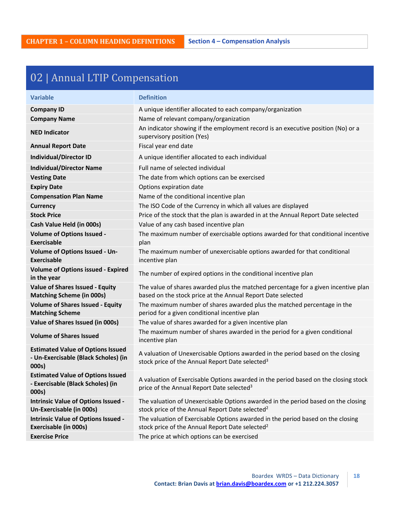# 02 | Annual LTIP Compensation

| <b>Variable</b>                                                                           | <b>Definition</b>                                                                                                                                 |
|-------------------------------------------------------------------------------------------|---------------------------------------------------------------------------------------------------------------------------------------------------|
| <b>Company ID</b>                                                                         | A unique identifier allocated to each company/organization                                                                                        |
| <b>Company Name</b>                                                                       | Name of relevant company/organization                                                                                                             |
| <b>NED Indicator</b>                                                                      | An indicator showing if the employment record is an executive position (No) or a<br>supervisory position (Yes)                                    |
| <b>Annual Report Date</b>                                                                 | Fiscal year end date                                                                                                                              |
| <b>Individual/Director ID</b>                                                             | A unique identifier allocated to each individual                                                                                                  |
| <b>Individual/Director Name</b>                                                           | Full name of selected individual                                                                                                                  |
| <b>Vesting Date</b>                                                                       | The date from which options can be exercised                                                                                                      |
| <b>Expiry Date</b>                                                                        | Options expiration date                                                                                                                           |
| <b>Compensation Plan Name</b>                                                             | Name of the conditional incentive plan                                                                                                            |
| <b>Currency</b>                                                                           | The ISO Code of the Currency in which all values are displayed                                                                                    |
| <b>Stock Price</b>                                                                        | Price of the stock that the plan is awarded in at the Annual Report Date selected                                                                 |
| Cash Value Held (in 000s)                                                                 | Value of any cash based incentive plan                                                                                                            |
| <b>Volume of Options Issued -</b><br><b>Exercisable</b>                                   | The maximum number of exercisable options awarded for that conditional incentive<br>plan                                                          |
| Volume of Options Issued - Un-<br><b>Exercisable</b>                                      | The maximum number of unexercisable options awarded for that conditional<br>incentive plan                                                        |
| <b>Volume of Options issued - Expired</b><br>in the year                                  | The number of expired options in the conditional incentive plan                                                                                   |
| <b>Value of Shares Issued - Equity</b><br><b>Matching Scheme (in 000s)</b>                | The value of shares awarded plus the matched percentage for a given incentive plan<br>based on the stock price at the Annual Report Date selected |
| <b>Volume of Shares Issued - Equity</b><br><b>Matching Scheme</b>                         | The maximum number of shares awarded plus the matched percentage in the<br>period for a given conditional incentive plan                          |
| Value of Shares Issued (in 000s)                                                          | The value of shares awarded for a given incentive plan                                                                                            |
| <b>Volume of Shares Issued</b>                                                            | The maximum number of shares awarded in the period for a given conditional<br>incentive plan                                                      |
| <b>Estimated Value of Options Issued</b><br>- Un-Exercisable (Black Scholes) (in<br>000s) | A valuation of Unexercisable Options awarded in the period based on the closing<br>stock price of the Annual Report Date selected <sup>3</sup>    |
| <b>Estimated Value of Options Issued</b><br>- Exercisable (Black Scholes) (in<br>000s)    | A valuation of Exercisable Options awarded in the period based on the closing stock<br>price of the Annual Report Date selected <sup>3</sup>      |
| <b>Intrinsic Value of Options Issued -</b><br>Un-Exercisable (in 000s)                    | The valuation of Unexercisable Options awarded in the period based on the closing<br>stock price of the Annual Report Date selected <sup>2</sup>  |
| <b>Intrinsic Value of Options Issued -</b><br><b>Exercisable (in 000s)</b>                | The valuation of Exercisable Options awarded in the period based on the closing<br>stock price of the Annual Report Date selected <sup>2</sup>    |
| <b>Exercise Price</b>                                                                     | The price at which options can be exercised                                                                                                       |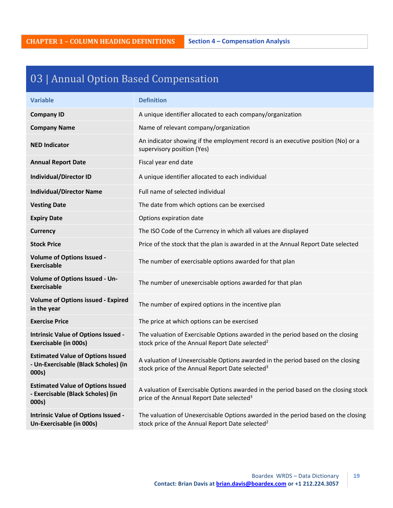# 03 | Annual Option Based Compensation

| <b>Variable</b>                                                                           | <b>Definition</b>                                                                                                                                |
|-------------------------------------------------------------------------------------------|--------------------------------------------------------------------------------------------------------------------------------------------------|
| <b>Company ID</b>                                                                         | A unique identifier allocated to each company/organization                                                                                       |
| <b>Company Name</b>                                                                       | Name of relevant company/organization                                                                                                            |
| <b>NED Indicator</b>                                                                      | An indicator showing if the employment record is an executive position (No) or a<br>supervisory position (Yes)                                   |
| <b>Annual Report Date</b>                                                                 | Fiscal year end date                                                                                                                             |
| <b>Individual/Director ID</b>                                                             | A unique identifier allocated to each individual                                                                                                 |
| <b>Individual/Director Name</b>                                                           | Full name of selected individual                                                                                                                 |
| <b>Vesting Date</b>                                                                       | The date from which options can be exercised                                                                                                     |
| <b>Expiry Date</b>                                                                        | Options expiration date                                                                                                                          |
| <b>Currency</b>                                                                           | The ISO Code of the Currency in which all values are displayed                                                                                   |
| <b>Stock Price</b>                                                                        | Price of the stock that the plan is awarded in at the Annual Report Date selected                                                                |
| <b>Volume of Options Issued -</b><br>Exercisable                                          | The number of exercisable options awarded for that plan                                                                                          |
| Volume of Options Issued - Un-<br><b>Exercisable</b>                                      | The number of unexercisable options awarded for that plan                                                                                        |
| <b>Volume of Options issued - Expired</b><br>in the year                                  | The number of expired options in the incentive plan                                                                                              |
| <b>Exercise Price</b>                                                                     | The price at which options can be exercised                                                                                                      |
| <b>Intrinsic Value of Options Issued -</b><br><b>Exercisable (in 000s)</b>                | The valuation of Exercisable Options awarded in the period based on the closing<br>stock price of the Annual Report Date selected <sup>2</sup>   |
| <b>Estimated Value of Options Issued</b><br>- Un-Exercisable (Black Scholes) (in<br>000s) | A valuation of Unexercisable Options awarded in the period based on the closing<br>stock price of the Annual Report Date selected <sup>3</sup>   |
| <b>Estimated Value of Options Issued</b><br>- Exercisable (Black Scholes) (in<br>000s)    | A valuation of Exercisable Options awarded in the period based on the closing stock<br>price of the Annual Report Date selected <sup>3</sup>     |
| <b>Intrinsic Value of Options Issued -</b><br>Un-Exercisable (in 000s)                    | The valuation of Unexercisable Options awarded in the period based on the closing<br>stock price of the Annual Report Date selected <sup>2</sup> |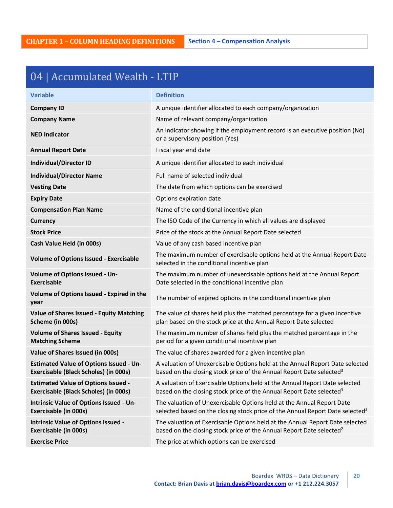# 04 | Accumulated Wealth - LTIP

| <b>Variable</b>                                                                            | <b>Definition</b>                                                                                                                                                  |
|--------------------------------------------------------------------------------------------|--------------------------------------------------------------------------------------------------------------------------------------------------------------------|
| <b>Company ID</b>                                                                          | A unique identifier allocated to each company/organization                                                                                                         |
| <b>Company Name</b>                                                                        | Name of relevant company/organization                                                                                                                              |
| <b>NED Indicator</b>                                                                       | An indicator showing if the employment record is an executive position (No)<br>or a supervisory position (Yes)                                                     |
| <b>Annual Report Date</b>                                                                  | Fiscal year end date                                                                                                                                               |
| <b>Individual/Director ID</b>                                                              | A unique identifier allocated to each individual                                                                                                                   |
| <b>Individual/Director Name</b>                                                            | Full name of selected individual                                                                                                                                   |
| <b>Vesting Date</b>                                                                        | The date from which options can be exercised                                                                                                                       |
| <b>Expiry Date</b>                                                                         | Options expiration date                                                                                                                                            |
| <b>Compensation Plan Name</b>                                                              | Name of the conditional incentive plan                                                                                                                             |
| <b>Currency</b>                                                                            | The ISO Code of the Currency in which all values are displayed                                                                                                     |
| <b>Stock Price</b>                                                                         | Price of the stock at the Annual Report Date selected                                                                                                              |
| Cash Value Held (in 000s)                                                                  | Value of any cash based incentive plan                                                                                                                             |
| <b>Volume of Options Issued - Exercisable</b>                                              | The maximum number of exercisable options held at the Annual Report Date<br>selected in the conditional incentive plan                                             |
| Volume of Options Issued - Un-<br><b>Exercisable</b>                                       | The maximum number of unexercisable options held at the Annual Report<br>Date selected in the conditional incentive plan                                           |
| Volume of Options Issued - Expired in the<br>year                                          | The number of expired options in the conditional incentive plan                                                                                                    |
| Value of Shares Issued - Equity Matching<br>Scheme (in 000s)                               | The value of shares held plus the matched percentage for a given incentive<br>plan based on the stock price at the Annual Report Date selected                     |
| <b>Volume of Shares Issued - Equity</b><br><b>Matching Scheme</b>                          | The maximum number of shares held plus the matched percentage in the<br>period for a given conditional incentive plan                                              |
| Value of Shares Issued (in 000s)                                                           | The value of shares awarded for a given incentive plan                                                                                                             |
| <b>Estimated Value of Options Issued - Un-</b><br>Exercisable (Black Scholes) (in 000s)    | A valuation of Unexercisable Options held at the Annual Report Date selected<br>based on the closing stock price of the Annual Report Date selected <sup>3</sup>   |
| <b>Estimated Value of Options Issued -</b><br><b>Exercisable (Black Scholes) (in 000s)</b> | A valuation of Exercisable Options held at the Annual Report Date selected<br>based on the closing stock price of the Annual Report Date selected <sup>3</sup>     |
| Intrinsic Value of Options Issued - Un-<br><b>Exercisable (in 000s)</b>                    | The valuation of Unexercisable Options held at the Annual Report Date<br>selected based on the closing stock price of the Annual Report Date selected <sup>2</sup> |
| <b>Intrinsic Value of Options Issued -</b><br><b>Exercisable (in 000s)</b>                 | The valuation of Exercisable Options held at the Annual Report Date selected<br>based on the closing stock price of the Annual Report Date selected <sup>2</sup>   |
| <b>Exercise Price</b>                                                                      | The price at which options can be exercised                                                                                                                        |
|                                                                                            |                                                                                                                                                                    |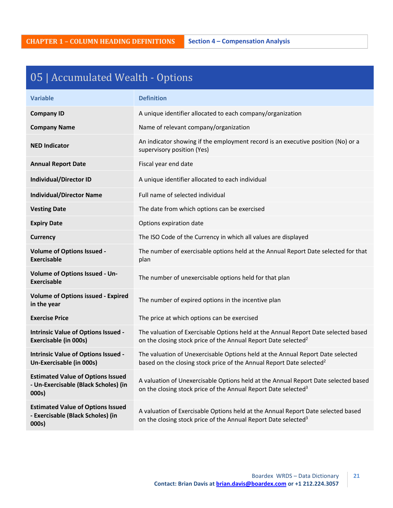# 05 | Accumulated Wealth - Options

| <b>Variable</b>                                                                           | <b>Definition</b>                                                                                                                                                  |
|-------------------------------------------------------------------------------------------|--------------------------------------------------------------------------------------------------------------------------------------------------------------------|
| <b>Company ID</b>                                                                         | A unique identifier allocated to each company/organization                                                                                                         |
| <b>Company Name</b>                                                                       | Name of relevant company/organization                                                                                                                              |
| <b>NED Indicator</b>                                                                      | An indicator showing if the employment record is an executive position (No) or a<br>supervisory position (Yes)                                                     |
| <b>Annual Report Date</b>                                                                 | Fiscal year end date                                                                                                                                               |
| Individual/Director ID                                                                    | A unique identifier allocated to each individual                                                                                                                   |
| <b>Individual/Director Name</b>                                                           | Full name of selected individual                                                                                                                                   |
| <b>Vesting Date</b>                                                                       | The date from which options can be exercised                                                                                                                       |
| <b>Expiry Date</b>                                                                        | Options expiration date                                                                                                                                            |
| <b>Currency</b>                                                                           | The ISO Code of the Currency in which all values are displayed                                                                                                     |
| <b>Volume of Options Issued -</b><br><b>Exercisable</b>                                   | The number of exercisable options held at the Annual Report Date selected for that<br>plan                                                                         |
| Volume of Options Issued - Un-<br><b>Exercisable</b>                                      | The number of unexercisable options held for that plan                                                                                                             |
| <b>Volume of Options issued - Expired</b><br>in the year                                  | The number of expired options in the incentive plan                                                                                                                |
| <b>Exercise Price</b>                                                                     | The price at which options can be exercised                                                                                                                        |
| <b>Intrinsic Value of Options Issued -</b><br><b>Exercisable (in 000s)</b>                | The valuation of Exercisable Options held at the Annual Report Date selected based<br>on the closing stock price of the Annual Report Date selected <sup>2</sup>   |
| <b>Intrinsic Value of Options Issued -</b><br>Un-Exercisable (in 000s)                    | The valuation of Unexercisable Options held at the Annual Report Date selected<br>based on the closing stock price of the Annual Report Date selected <sup>2</sup> |
| <b>Estimated Value of Options Issued</b><br>- Un-Exercisable (Black Scholes) (in<br>000s) | A valuation of Unexercisable Options held at the Annual Report Date selected based<br>on the closing stock price of the Annual Report Date selected <sup>3</sup>   |
| <b>Estimated Value of Options Issued</b><br>- Exercisable (Black Scholes) (in<br>000s)    | A valuation of Exercisable Options held at the Annual Report Date selected based<br>on the closing stock price of the Annual Report Date selected <sup>3</sup>     |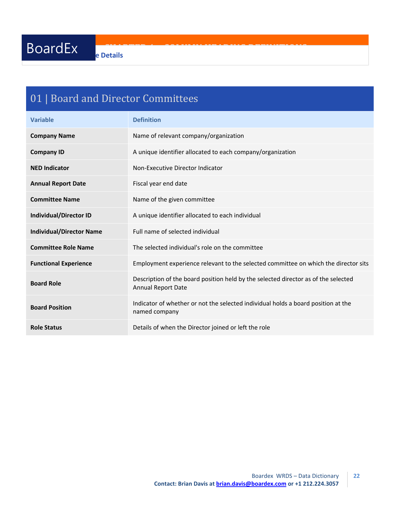# 01 | Board and Director Committees **Variable Definition Company Name** Name of relevant company/organization **Company ID** A unique identifier allocated to each company/organization **NED Indicator** Non-Executive Director Indicator **Annual Report Date** Fiscal year end date **Committee Name** Name of the given committee **Individual/Director ID** A unique identifier allocated to each individual **Individual/Director Name** Full name of selected individual **Committee Role Name** The selected individual's role on the committee **Functional Experience** Employment experience relevant to the selected committee on which the director sits **Board Role Description of the board position held by the selected director as of the selected** Annual Report Date **Board Position** Indicator of whether or not the selected individual holds a board position at the named company **Role Status Role Status** Details of when the Director joined or left the role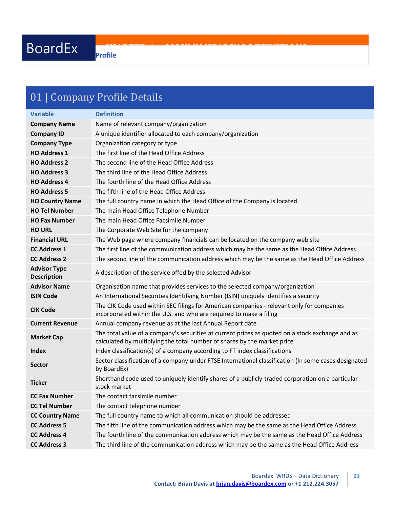# **BoardEx**

| 01   Company Profile Details              |                                                                                                                                                                              |  |
|-------------------------------------------|------------------------------------------------------------------------------------------------------------------------------------------------------------------------------|--|
| <b>Variable</b>                           | <b>Definition</b>                                                                                                                                                            |  |
| <b>Company Name</b>                       | Name of relevant company/organization                                                                                                                                        |  |
| <b>Company ID</b>                         | A unique identifier allocated to each company/organization                                                                                                                   |  |
| <b>Company Type</b>                       | Organization category or type                                                                                                                                                |  |
| <b>HO Address 1</b>                       | The first line of the Head Office Address                                                                                                                                    |  |
| <b>HO Address 2</b>                       | The second line of the Head Office Address                                                                                                                                   |  |
| <b>HO Address 3</b>                       | The third line of the Head Office Address                                                                                                                                    |  |
| <b>HO Address 4</b>                       | The fourth line of the Head Office Address                                                                                                                                   |  |
| <b>HO Address 5</b>                       | The fifth line of the Head Office Address                                                                                                                                    |  |
| <b>HO Country Name</b>                    | The full country name in which the Head Office of the Company is located                                                                                                     |  |
| <b>HO Tel Number</b>                      | The main Head Office Telephone Number                                                                                                                                        |  |
| <b>HO Fax Number</b>                      | The main Head Office Facsimile Number                                                                                                                                        |  |
| <b>HO URL</b>                             | The Corporate Web Site for the company                                                                                                                                       |  |
| <b>Financial URL</b>                      | The Web page where company financials can be located on the company web site                                                                                                 |  |
| <b>CC Address 1</b>                       | The first line of the communication address which may be the same as the Head Office Address                                                                                 |  |
| <b>CC Address 2</b>                       | The second line of the communication address which may be the same as the Head Office Address                                                                                |  |
| <b>Advisor Type</b><br><b>Description</b> | A description of the service offed by the selected Advisor                                                                                                                   |  |
| <b>Advisor Name</b>                       | Organisation name that provides services to the selected company/organization                                                                                                |  |
| <b>ISIN Code</b>                          | An International Securities Identifying Number (ISIN) uniquely identifies a security                                                                                         |  |
| <b>CIK Code</b>                           | The CIK Code used within SEC filings for American companies - relevant only for companies<br>incorporated within the U.S. and who are required to make a filing              |  |
| <b>Current Revenue</b>                    | Annual company revenue as at the last Annual Report date                                                                                                                     |  |
| <b>Market Cap</b>                         | The total value of a company's securities at current prices as quoted on a stock exchange and as<br>calculated by multiplying the total number of shares by the market price |  |
| Index                                     | Index classification(s) of a company according to FT index classifications                                                                                                   |  |
| <b>Sector</b>                             | Sector classification of a company under FTSE International classification (In some cases designated<br>by BoardEx)                                                          |  |
| <b>Ticker</b>                             | Shorthand code used to uniquely identify shares of a publicly-traded corporation on a particular<br>stock market                                                             |  |
| <b>CC Fax Number</b>                      | The contact facsimile number                                                                                                                                                 |  |
| <b>CC Tel Number</b>                      | The contact telephone number                                                                                                                                                 |  |
| <b>CC Country Name</b>                    | The full country name to which all communication should be addressed                                                                                                         |  |
| <b>CC Address 5</b>                       | The fifth line of the communication address which may be the same as the Head Office Address                                                                                 |  |
| <b>CC Address 4</b>                       | The fourth line of the communication address which may be the same as the Head Office Address                                                                                |  |
| <b>CC Address 3</b>                       | The third line of the communication address which may be the same as the Head Office Address                                                                                 |  |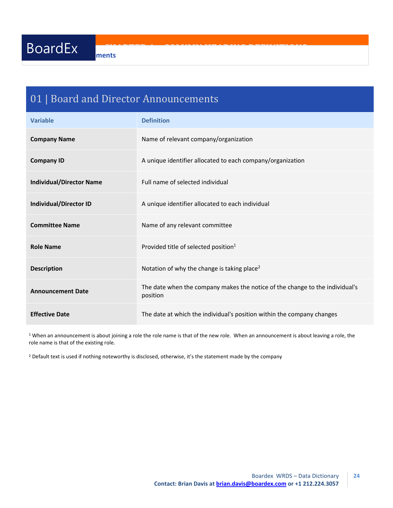| 01   Board and Director Announcements |                                                                                          |  |  |
|---------------------------------------|------------------------------------------------------------------------------------------|--|--|
| Variable                              | <b>Definition</b>                                                                        |  |  |
| <b>Company Name</b>                   | Name of relevant company/organization                                                    |  |  |
| <b>Company ID</b>                     | A unique identifier allocated to each company/organization                               |  |  |
| <b>Individual/Director Name</b>       | Full name of selected individual                                                         |  |  |
| <b>Individual/Director ID</b>         | A unique identifier allocated to each individual                                         |  |  |
| <b>Committee Name</b>                 | Name of any relevant committee                                                           |  |  |
| <b>Role Name</b>                      | Provided title of selected position $1$                                                  |  |  |
| <b>Description</b>                    | Notation of why the change is taking place <sup>2</sup>                                  |  |  |
| <b>Announcement Date</b>              | The date when the company makes the notice of the change to the individual's<br>position |  |  |
| <b>Effective Date</b>                 | The date at which the individual's position within the company changes                   |  |  |

 $1$  When an announcement is about joining a role the role name is that of the new role. When an announcement is about leaving a role, the role name is that of the existing role.

<sup>2</sup> Default text is used if nothing noteworthy is disclosed, otherwise, it's the statement made by the company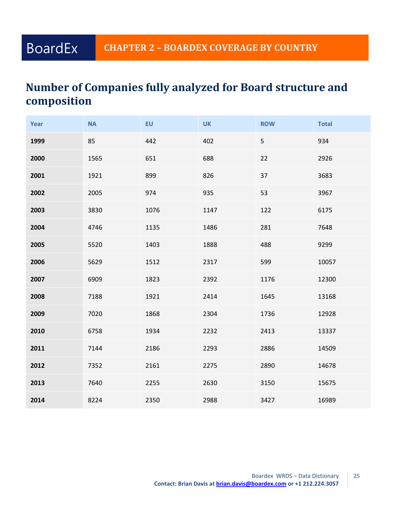## **Number of Companies fully analyzed for Board structure and composition**

| Year | <b>NA</b> | <b>EU</b> | <b>UK</b> | <b>ROW</b> | <b>Total</b> |
|------|-----------|-----------|-----------|------------|--------------|
| 1999 | 85        | 442       | 402       | 5          | 934          |
| 2000 | 1565      | 651       | 688       | 22         | 2926         |
| 2001 | 1921      | 899       | 826       | 37         | 3683         |
| 2002 | 2005      | 974       | 935       | 53         | 3967         |
| 2003 | 3830      | 1076      | 1147      | 122        | 6175         |
| 2004 | 4746      | 1135      | 1486      | 281        | 7648         |
| 2005 | 5520      | 1403      | 1888      | 488        | 9299         |
| 2006 | 5629      | 1512      | 2317      | 599        | 10057        |
| 2007 | 6909      | 1823      | 2392      | 1176       | 12300        |
| 2008 | 7188      | 1921      | 2414      | 1645       | 13168        |
| 2009 | 7020      | 1868      | 2304      | 1736       | 12928        |
| 2010 | 6758      | 1934      | 2232      | 2413       | 13337        |
| 2011 | 7144      | 2186      | 2293      | 2886       | 14509        |
| 2012 | 7352      | 2161      | 2275      | 2890       | 14678        |
| 2013 | 7640      | 2255      | 2630      | 3150       | 15675        |
| 2014 | 8224      | 2350      | 2988      | 3427       | 16989        |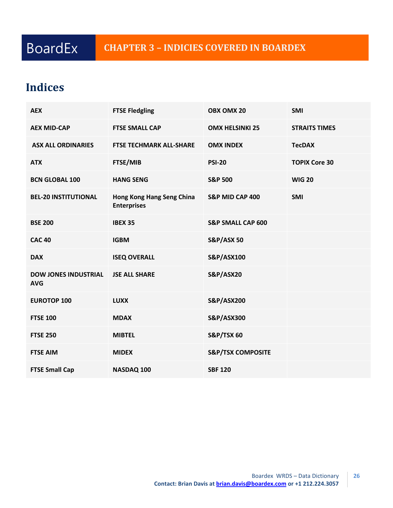# BoardEx **CHAPTER 3 – INDICIES COVERED IN BOARDEX**

## **Indices**

| <b>AEX</b>                                | <b>FTSE Fledgling</b>                           | <b>OBX OMX 20</b>            | <b>SMI</b>           |
|-------------------------------------------|-------------------------------------------------|------------------------------|----------------------|
| <b>AEX MID-CAP</b>                        | <b>FTSE SMALL CAP</b>                           | <b>OMX HELSINKI 25</b>       | <b>STRAITS TIMES</b> |
| <b>ASX ALL ORDINARIES</b>                 | <b>FTSE TECHMARK ALL-SHARE</b>                  | <b>OMX INDEX</b>             | <b>TecDAX</b>        |
| <b>ATX</b>                                | FTSE/MIB                                        | <b>PSI-20</b>                | <b>TOPIX Core 30</b> |
| <b>BCN GLOBAL 100</b>                     | <b>HANG SENG</b>                                | <b>S&amp;P 500</b>           | <b>WIG 20</b>        |
| <b>BEL-20 INSTITUTIONAL</b>               | Hong Kong Hang Seng China<br><b>Enterprises</b> | S&P MID CAP 400              | <b>SMI</b>           |
| <b>BSE 200</b>                            | <b>IBEX 35</b>                                  | <b>S&amp;P SMALL CAP 600</b> |                      |
| <b>CAC 40</b>                             | <b>IGBM</b>                                     | <b>S&amp;P/ASX 50</b>        |                      |
| <b>DAX</b>                                | <b>ISEQ OVERALL</b>                             | <b>S&amp;P/ASX100</b>        |                      |
| <b>DOW JONES INDUSTRIAL</b><br><b>AVG</b> | <b>JSE ALL SHARE</b>                            | <b>S&amp;P/ASX20</b>         |                      |
| <b>EUROTOP 100</b>                        | <b>LUXX</b>                                     | <b>S&amp;P/ASX200</b>        |                      |
| <b>FTSE 100</b>                           | <b>MDAX</b>                                     | <b>S&amp;P/ASX300</b>        |                      |
| <b>FTSE 250</b>                           | <b>MIBTEL</b>                                   | <b>S&amp;P/TSX 60</b>        |                      |
| <b>FTSE AIM</b>                           | <b>MIDEX</b>                                    | <b>S&amp;P/TSX COMPOSITE</b> |                      |
| <b>FTSE Small Cap</b>                     | NASDAQ 100                                      | <b>SBF 120</b>               |                      |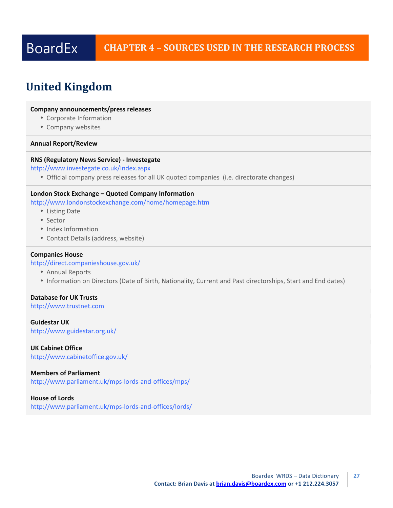# BoardEx **CHAPTER 4 – SOURCES USED IN THE RESEARCH PROCESS**

## **United Kingdom**

#### **Company announcements/press releases**

- Corporate Information
- Company websites

#### **Annual Report/Review**

#### **RNS (Regulatory News Service) - Investegate**

http://www.investegate.co.uk/Index.aspx

• Official company press releases for all UK quoted companies (i.e. directorate changes)

#### **London Stock Exchange – Quoted Company Information**

http://www.londonstockexchange.com/home/homepage.htm

- Listing Date
- Sector
- Index Information
- Contact Details (address, website)

#### **Companies House**

http://direct.companieshouse.gov.uk/

- Annual Reports
- Information on Directors (Date of Birth, Nationality, Current and Past directorships, Start and End dates)

#### **Database for UK Trusts**

http://www.trustnet.com

**Guidestar UK**  http://www.guidestar.org.uk/

#### **UK Cabinet Office**

http://www.cabinetoffice.gov.uk/

#### **Members of Parliament**

http://www.parliament.uk/mps-lords-and-offices/mps/

**House of Lords**

http://www.parliament.uk/mps-lords-and-offices/lords/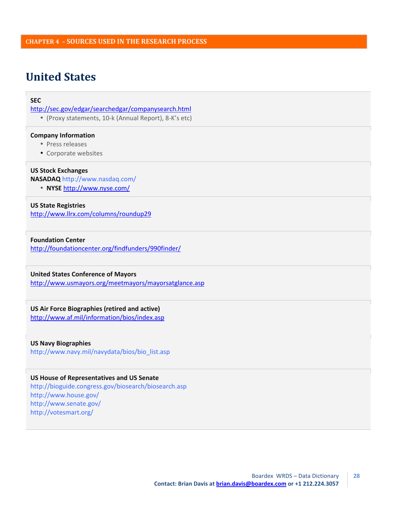## **United States**

#### **SEC**

http://sec.gov/edgar/searchedgar/companysearch.html

• (Proxy statements, 10-k (Annual Report), 8-K's etc)

#### **Company Information**

- Press releases
- Corporate websites

#### **US Stock Exchanges**

**NASADAQ** http://www.nasdaq.com/

• **NYSE** http://www.nyse.com/

#### **US State Registries**

http://www.llrx.com/columns/roundup29

**Foundation Center**

http://foundationcenter.org/findfunders/990finder/

#### **United States Conference of Mayors**

http://www.usmayors.org/meetmayors/mayorsatglance.asp

#### **US Air Force Biographies (retired and active)**

http://www.af.mil/information/bios/index.asp

#### **US Navy Biographies**

http://www.navy.mil/navydata/bios/bio\_list.asp

#### **US House of Representatives and US Senate**

http://bioguide.congress.gov/biosearch/biosearch.asp http://www.house.gov/ http://www.senate.gov/ http://votesmart.org/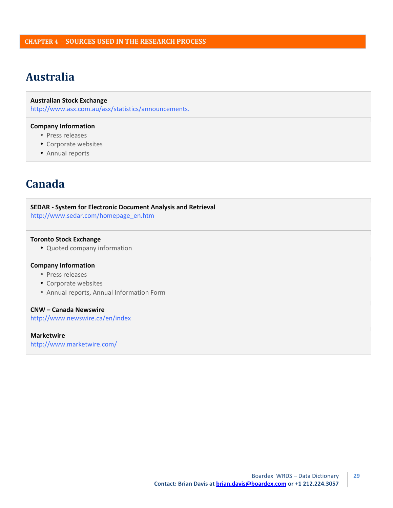## **Australia**

#### **Australian Stock Exchange**

http://www.asx.com.au/asx/statistics/announcements.

#### **Company Information**

- Press releases
- Corporate websites
- Annual reports

## **Canada**

**SEDAR - System for Electronic Document Analysis and Retrieval** http://www.sedar.com/homepage\_en.htm

#### **Toronto Stock Exchange**

• Quoted company information

#### **Company Information**

- Press releases
- Corporate websites
- Annual reports, Annual Information Form

#### **CNW – Canada Newswire**

http://www.newswire.ca/en/index

**Marketwire** http://www.marketwire.com/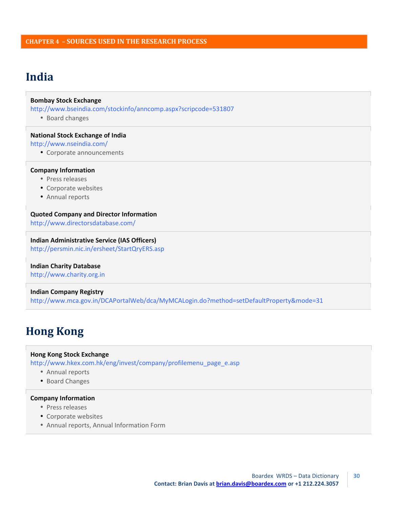#### **CHAPTER 4 – SOURCES USED IN THE RESEARCH PROCESS**

## **India**

#### **Bombay Stock Exchange**

http://www.bseindia.com/stockinfo/anncomp.aspx?scripcode=531807

• Board changes

#### **National Stock Exchange of India**

http://www.nseindia.com/

• Corporate announcements

#### **Company Information**

- Press releases
- Corporate websites
- Annual reports

#### **Quoted Company and Director Information**

http://www.directorsdatabase.com/

#### **Indian Administrative Service (IAS Officers)**

http://persmin.nic.in/ersheet/StartQryERS.asp

**Indian Charity Database**  http://www.charity.org.in

**Indian Company Registry** http://www.mca.gov.in/DCAPortalWeb/dca/MyMCALogin.do?method=setDefaultProperty&mode=31

## **Hong Kong**

#### **Hong Kong Stock Exchange**

http://www.hkex.com.hk/eng/invest/company/profilemenu\_page\_e.asp

- Annual reports
- Board Changes

#### **Company Information**

- Press releases
- Corporate websites
- Annual reports, Annual Information Form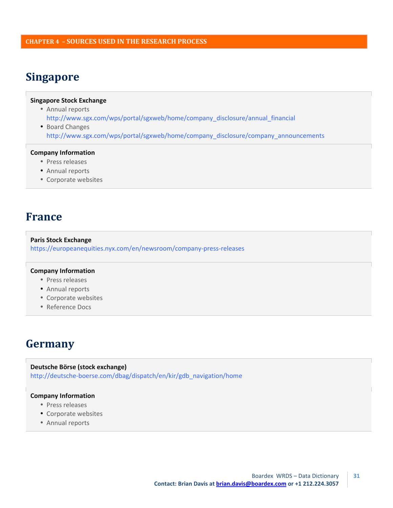## **Singapore**

#### **Singapore Stock Exchange**

- Annual reports http://www.sgx.com/wps/portal/sgxweb/home/company\_disclosure/annual\_financial
- Board Changes http://www.sgx.com/wps/portal/sgxweb/home/company\_disclosure/company\_announcements

#### **Company Information**

- Press releases
- Annual reports
- Corporate websites

## **France**

**Paris Stock Exchange** https://europeanequities.nyx.com/en/newsroom/company-press-releases

#### **Company Information**

- Press releases
- Annual reports
- Corporate websites
- Reference Docs

## **Germany**

**Deutsche Börse (stock exchange)** http://deutsche-boerse.com/dbag/dispatch/en/kir/gdb\_navigation/home

#### **Company Information**

- Press releases
- Corporate websites
- Annual reports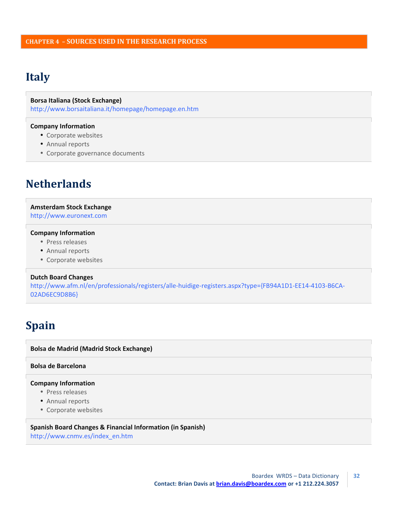## **Italy**

#### **Borsa Italiana (Stock Exchange)**

http://www.borsaitaliana.it/homepage/homepage.en.htm

#### **Company Information**

- Corporate websites
- Annual reports
- Corporate governance documents

## **Netherlands**

#### **Amsterdam Stock Exchange**

http://www.euronext.com

#### **Company Information**

- Press releases
- Annual reports
- Corporate websites

#### **Dutch Board Changes**

http://www.afm.nl/en/professionals/registers/alle-huidige-registers.aspx?type={FB94A1D1-EE14-4103-B6CA-02AD6EC9D8B6}

## **Spain**

**Bolsa de Madrid (Madrid Stock Exchange)**

#### **Bolsa de Barcelona**

#### **Company Information**

- Press releases
- Annual reports
- Corporate websites

#### **Spanish Board Changes & Financial Information (in Spanish)**

http://www.cnmv.es/index\_en.htm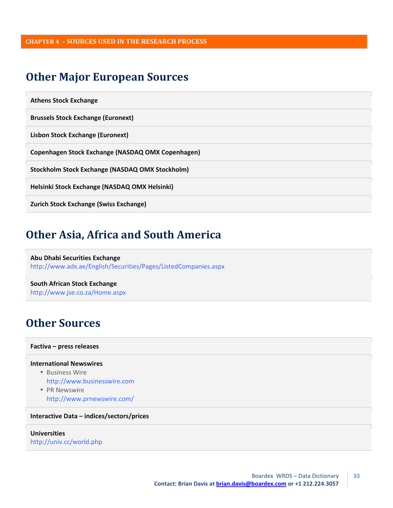## **Other Major European Sources**

**Athens Stock Exchange**

**Brussels Stock Exchange (Euronext)**

**Lisbon Stock Exchange (Euronext)**

**Copenhagen Stock Exchange (NASDAQ OMX Copenhagen)**

**Stockholm Stock Exchange (NASDAQ OMX Stockholm)**

**Helsinki Stock Exchange (NASDAQ OMX Helsinki)**

**Zurich Stock Exchange (Swiss Exchange)**

## **Other Asia, Africa and South America**

**Abu Dhabi Securities Exchange** http://www.adx.ae/English/Securities/Pages/ListedCompanies.aspx

**South African Stock Exchange** http://www.jse.co.za/Home.aspx

## **Other Sources**

**Factiva – press releases**

#### **International Newswires**

- Business Wire http://www.businesswire.com
- PR Newswire http://www.prnewswire.com/

**Interactive Data – indices/sectors/prices**

**Universities** http://univ.cc/world.php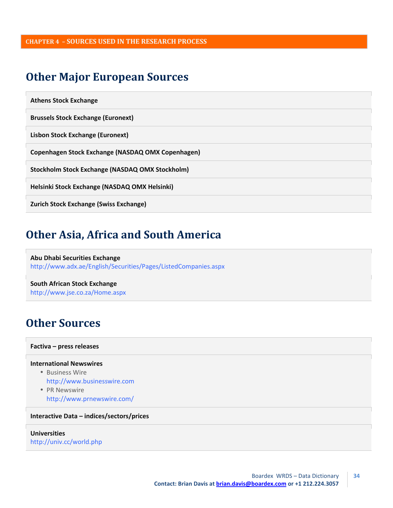## **Other Major European Sources**

**Athens Stock Exchange**

**Brussels Stock Exchange (Euronext)**

**Lisbon Stock Exchange (Euronext)**

**Copenhagen Stock Exchange (NASDAQ OMX Copenhagen)**

**Stockholm Stock Exchange (NASDAQ OMX Stockholm)**

**Helsinki Stock Exchange (NASDAQ OMX Helsinki)**

**Zurich Stock Exchange (Swiss Exchange)**

## **Other Asia, Africa and South America**

**Abu Dhabi Securities Exchange** http://www.adx.ae/English/Securities/Pages/ListedCompanies.aspx

**South African Stock Exchange** http://www.jse.co.za/Home.aspx

## **Other Sources**

**Factiva – press releases**

#### **International Newswires**

- Business Wire http://www.businesswire.com
- PR Newswire http://www.prnewswire.com/

**Interactive Data – indices/sectors/prices**

**Universities** http://univ.cc/world.php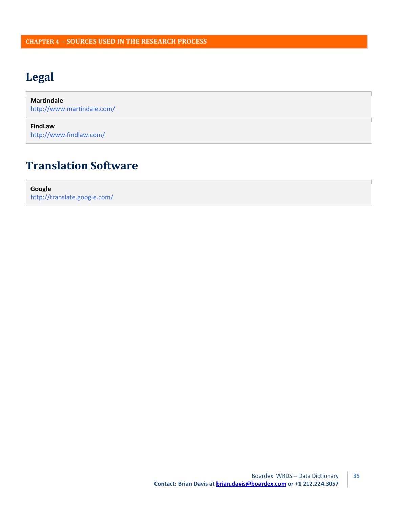# **Legal**

 $\Box$ 

**Martindale** http://www.martindale.com/

**FindLaw** http://www.findlaw.com/

## **Translation Software**

**Google** http://translate.google.com/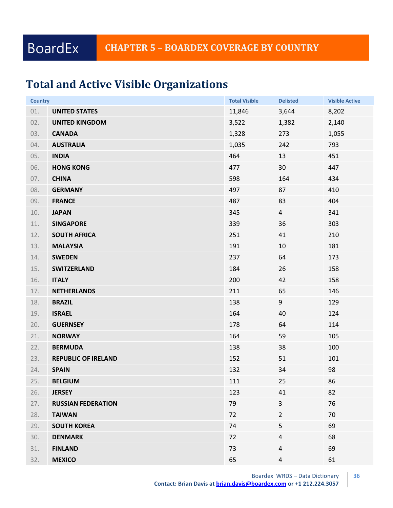## **Total and Active Visible Organizations**

| <b>Country</b> |                            | <b>Total Visible</b> | <b>Delisted</b> | <b>Visible Active</b> |
|----------------|----------------------------|----------------------|-----------------|-----------------------|
| 01.            | <b>UNITED STATES</b>       | 11,846               | 3,644           | 8,202                 |
| 02.            | <b>UNITED KINGDOM</b>      | 3,522                | 1,382           | 2,140                 |
| 03.            | <b>CANADA</b>              | 1,328                | 273             | 1,055                 |
| 04.            | <b>AUSTRALIA</b>           | 1,035                | 242             | 793                   |
| 05.            | <b>INDIA</b>               | 464                  | 13              | 451                   |
| 06.            | <b>HONG KONG</b>           | 477                  | 30              | 447                   |
| 07.            | <b>CHINA</b>               | 598                  | 164             | 434                   |
| 08.            | <b>GERMANY</b>             | 497                  | 87              | 410                   |
| 09.            | <b>FRANCE</b>              | 487                  | 83              | 404                   |
| 10.            | <b>JAPAN</b>               | 345                  | 4               | 341                   |
| 11.            | <b>SINGAPORE</b>           | 339                  | 36              | 303                   |
| 12.            | <b>SOUTH AFRICA</b>        | 251                  | 41              | 210                   |
| 13.            | <b>MALAYSIA</b>            | 191                  | 10              | 181                   |
| 14.            | <b>SWEDEN</b>              | 237                  | 64              | 173                   |
| 15.            | <b>SWITZERLAND</b>         | 184                  | 26              | 158                   |
| 16.            | <b>ITALY</b>               | 200                  | 42              | 158                   |
| 17.            | <b>NETHERLANDS</b>         | 211                  | 65              | 146                   |
| 18.            | <b>BRAZIL</b>              | 138                  | 9               | 129                   |
| 19.            | <b>ISRAEL</b>              | 164                  | 40              | 124                   |
| 20.            | <b>GUERNSEY</b>            | 178                  | 64              | 114                   |
| 21.            | <b>NORWAY</b>              | 164                  | 59              | 105                   |
| 22.            | <b>BERMUDA</b>             | 138                  | 38              | 100                   |
| 23.            | <b>REPUBLIC OF IRELAND</b> | 152                  | 51              | 101                   |
| 24.            | <b>SPAIN</b>               | 132                  | 34              | 98                    |
| 25.            | <b>BELGIUM</b>             | 111                  | 25              | 86                    |
| 26.            | <b>JERSEY</b>              | 123                  | 41              | 82                    |
| 27.            | <b>RUSSIAN FEDERATION</b>  | 79                   | 3               | 76                    |
| 28.            | <b>TAIWAN</b>              | 72                   | $\overline{2}$  | 70                    |
| 29.            | <b>SOUTH KOREA</b>         | 74                   | 5               | 69                    |
| 30.            | <b>DENMARK</b>             | 72                   | 4               | 68                    |
| 31.            | <b>FINLAND</b>             | 73                   | 4               | 69                    |
| 32.            | <b>MEXICO</b>              | 65                   | 4               | 61                    |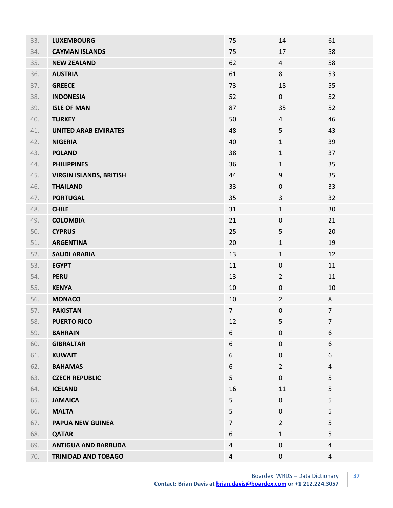| 33. | <b>LUXEMBOURG</b>              | 75             | 14               | 61             |
|-----|--------------------------------|----------------|------------------|----------------|
| 34. | <b>CAYMAN ISLANDS</b>          | 75             | 17               | 58             |
| 35. | <b>NEW ZEALAND</b>             | 62             | $\overline{4}$   | 58             |
| 36. | <b>AUSTRIA</b>                 | 61             | 8                | 53             |
| 37. | <b>GREECE</b>                  | 73             | 18               | 55             |
| 38. | <b>INDONESIA</b>               | 52             | $\pmb{0}$        | 52             |
| 39. | <b>ISLE OF MAN</b>             | 87             | 35               | 52             |
| 40. | <b>TURKEY</b>                  | 50             | $\overline{4}$   | 46             |
| 41. | <b>UNITED ARAB EMIRATES</b>    | 48             | 5                | 43             |
| 42. | <b>NIGERIA</b>                 | 40             | $\mathbf{1}$     | 39             |
| 43. | <b>POLAND</b>                  | 38             | $\mathbf{1}$     | 37             |
| 44. | <b>PHILIPPINES</b>             | 36             | $\mathbf{1}$     | 35             |
| 45. | <b>VIRGIN ISLANDS, BRITISH</b> | 44             | $\boldsymbol{9}$ | 35             |
| 46. | <b>THAILAND</b>                | 33             | $\pmb{0}$        | 33             |
| 47. | <b>PORTUGAL</b>                | 35             | 3                | 32             |
| 48. | <b>CHILE</b>                   | 31             | $\mathbf{1}$     | 30             |
| 49. | <b>COLOMBIA</b>                | 21             | $\pmb{0}$        | 21             |
| 50. | <b>CYPRUS</b>                  | 25             | 5                | 20             |
| 51. | <b>ARGENTINA</b>               | 20             | $\mathbf{1}$     | 19             |
| 52. | <b>SAUDI ARABIA</b>            | 13             | $\mathbf{1}$     | 12             |
| 53. | <b>EGYPT</b>                   | 11             | $\pmb{0}$        | 11             |
| 54. | <b>PERU</b>                    | 13             | $\overline{2}$   | 11             |
| 55. | <b>KENYA</b>                   | 10             | $\pmb{0}$        | 10             |
| 56. | <b>MONACO</b>                  | 10             | $\overline{2}$   | 8              |
| 57. | <b>PAKISTAN</b>                | $\overline{7}$ | $\pmb{0}$        | $\overline{7}$ |
| 58. | <b>PUERTO RICO</b>             | 12             | 5                | $\overline{7}$ |
| 59. | <b>BAHRAIN</b>                 | 6              | $\pmb{0}$        | 6              |
| 60. | <b>GIBRALTAR</b>               | 6              | $\pmb{0}$        | 6              |
| 61. | <b>KUWAIT</b>                  | 6              | $\mathbf 0$      | 6              |
| 62. | <b>BAHAMAS</b>                 | 6              | $\overline{2}$   | 4              |
| 63. | <b>CZECH REPUBLIC</b>          | 5              | $\pmb{0}$        | 5              |
| 64. | <b>ICELAND</b>                 | 16             | 11               | 5              |
| 65. | <b>JAMAICA</b>                 | 5              | $\pmb{0}$        | 5              |
| 66. | <b>MALTA</b>                   | 5              | $\pmb{0}$        | 5              |
| 67. | <b>PAPUA NEW GUINEA</b>        | $\overline{7}$ | $\overline{2}$   | 5              |
| 68. | <b>QATAR</b>                   | 6              | $\mathbf{1}$     | 5              |
| 69. | <b>ANTIGUA AND BARBUDA</b>     | 4              | $\pmb{0}$        | $\overline{4}$ |
| 70. | <b>TRINIDAD AND TOBAGO</b>     | 4              | $\pmb{0}$        | 4              |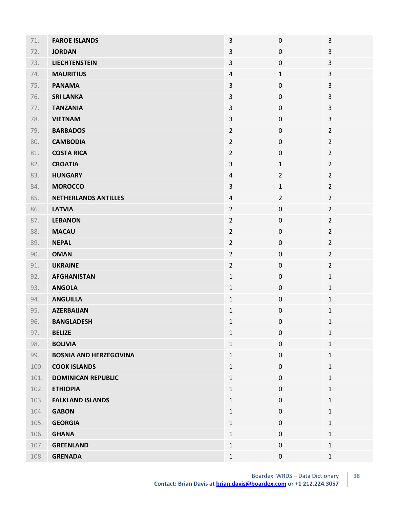| 71.  | <b>FAROE ISLANDS</b>          | $\mathsf 3$    | $\pmb{0}$      | 3              |
|------|-------------------------------|----------------|----------------|----------------|
| 72.  | <b>JORDAN</b>                 | 3              | $\mathbf 0$    | 3              |
| 73.  | <b>LIECHTENSTEIN</b>          | $\mathsf 3$    | $\pmb{0}$      | 3              |
| 74.  | <b>MAURITIUS</b>              | 4              | $\mathbf{1}$   | 3              |
| 75.  | <b>PANAMA</b>                 | 3              | $\pmb{0}$      | $\overline{3}$ |
| 76.  | <b>SRI LANKA</b>              | 3              | $\pmb{0}$      | 3              |
| 77.  | <b>TANZANIA</b>               | 3              | $\mathbf 0$    | 3              |
| 78.  | <b>VIETNAM</b>                | 3              | $\pmb{0}$      | 3              |
| 79.  | <b>BARBADOS</b>               | $\overline{2}$ | $\pmb{0}$      | $\overline{2}$ |
| 80.  | <b>CAMBODIA</b>               | $\overline{2}$ | $\pmb{0}$      | $\overline{2}$ |
| 81.  | <b>COSTA RICA</b>             | $\overline{2}$ | $\pmb{0}$      | $\overline{2}$ |
| 82.  | <b>CROATIA</b>                | 3              | $\mathbf{1}$   | $\overline{2}$ |
| 83.  | <b>HUNGARY</b>                | $\overline{4}$ | $\overline{2}$ | $\overline{2}$ |
| 84.  | <b>MOROCCO</b>                | 3              | $\mathbf{1}$   | $\overline{2}$ |
| 85.  | <b>NETHERLANDS ANTILLES</b>   | 4              | $\overline{2}$ | $\overline{2}$ |
| 86.  | <b>LATVIA</b>                 | $\overline{2}$ | $\pmb{0}$      | $\overline{2}$ |
| 87.  | <b>LEBANON</b>                | $\overline{2}$ | $\pmb{0}$      | $\overline{2}$ |
| 88.  | <b>MACAU</b>                  | $\overline{2}$ | $\mathbf 0$    | $\overline{2}$ |
| 89.  | <b>NEPAL</b>                  | $\overline{2}$ | $\pmb{0}$      | $\overline{2}$ |
| 90.  | <b>OMAN</b>                   | $\overline{2}$ | $\pmb{0}$      | $\overline{2}$ |
| 91.  | <b>UKRAINE</b>                | $\overline{2}$ | $\pmb{0}$      | $\overline{2}$ |
| 92.  | <b>AFGHANISTAN</b>            | $\mathbf 1$    | $\pmb{0}$      | $\mathbf{1}$   |
| 93.  | <b>ANGOLA</b>                 | $\mathbf 1$    | $\pmb{0}$      | $\mathbf{1}$   |
| 94.  | <b>ANGUILLA</b>               | $\mathbf{1}$   | $\pmb{0}$      | $\mathbf{1}$   |
| 95.  | <b>AZERBAIJAN</b>             | $\mathbf{1}$   | $\pmb{0}$      | $\mathbf{1}$   |
| 96.  | <b>BANGLADESH</b>             | $\mathbf{1}$   | 0              | $\mathbf{1}$   |
| 97.  | <b>BELIZE</b>                 | $\mathbf 1$    | $\pmb{0}$      | $\mathbf{1}$   |
| 98.  | <b>BOLIVIA</b>                | $\mathbf{1}$   | $\pmb{0}$      | $\mathbf{1}$   |
| 99.  | <b>BOSNIA AND HERZEGOVINA</b> | 1              | $\pmb{0}$      | $\mathbf{1}$   |
| 100. | <b>COOK ISLANDS</b>           | $\mathbf{1}$   | $\pmb{0}$      | $\mathbf{1}$   |
| 101. | <b>DOMINICAN REPUBLIC</b>     | $\mathbf{1}$   | $\pmb{0}$      | $\mathbf{1}$   |
| 102. | <b>ETHIOPIA</b>               | 1              | $\pmb{0}$      | $\mathbf{1}$   |
| 103. | <b>FALKLAND ISLANDS</b>       | $\mathbf{1}$   | $\pmb{0}$      | $\mathbf{1}$   |
| 104. | <b>GABON</b>                  | $\mathbf 1$    | $\pmb{0}$      | $\mathbf{1}$   |
| 105. | <b>GEORGIA</b>                | $\mathbf 1$    | $\pmb{0}$      | $\mathbf{1}$   |
| 106. | <b>GHANA</b>                  | $\mathbf{1}$   | $\pmb{0}$      | $\mathbf{1}$   |
| 107. | <b>GREENLAND</b>              | $\mathbf{1}$   | $\pmb{0}$      | $\mathbf{1}$   |
| 108. | <b>GRENADA</b>                | $\mathbf{1}$   | $\pmb{0}$      | $\mathbf 1$    |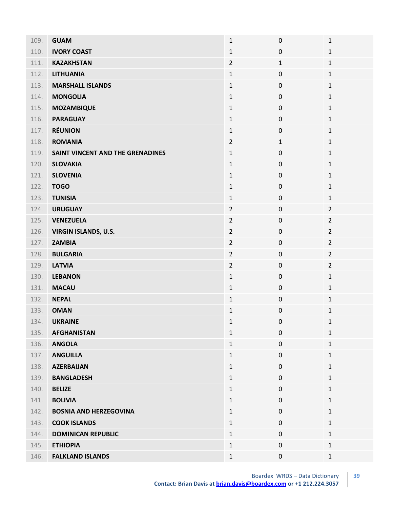| 109. | <b>GUAM</b>                      | $\mathbf 1$    | $\pmb{0}$    | $\mathbf{1}$   |
|------|----------------------------------|----------------|--------------|----------------|
| 110. | <b>IVORY COAST</b>               | $\mathbf{1}$   | $\mathbf 0$  | $\mathbf{1}$   |
| 111. | <b>KAZAKHSTAN</b>                | $\overline{2}$ | $\mathbf{1}$ | $\mathbf{1}$   |
| 112. | <b>LITHUANIA</b>                 | $\mathbf{1}$   | $\mathbf 0$  | $\mathbf{1}$   |
| 113. | <b>MARSHALL ISLANDS</b>          | $\mathbf{1}$   | $\pmb{0}$    | $\mathbf{1}$   |
| 114. | <b>MONGOLIA</b>                  | $\mathbf{1}$   | $\mathbf 0$  | $\mathbf{1}$   |
| 115. | <b>MOZAMBIQUE</b>                | $\mathbf{1}$   | $\mathbf 0$  | $\mathbf{1}$   |
| 116. | <b>PARAGUAY</b>                  | $\mathbf{1}$   | $\pmb{0}$    | $\mathbf{1}$   |
| 117. | <b>RÉUNION</b>                   | $\mathbf{1}$   | $\pmb{0}$    | $\mathbf{1}$   |
| 118. | <b>ROMANIA</b>                   | $\overline{2}$ | $\mathbf{1}$ | $\mathbf{1}$   |
| 119. | SAINT VINCENT AND THE GRENADINES | $\mathbf 1$    | $\pmb{0}$    | $\mathbf{1}$   |
| 120. | <b>SLOVAKIA</b>                  | $\mathbf 1$    | $\pmb{0}$    | $\mathbf{1}$   |
| 121. | <b>SLOVENIA</b>                  | $\mathbf{1}$   | $\mathbf 0$  | $\mathbf{1}$   |
| 122. | <b>TOGO</b>                      | $\mathbf{1}$   | $\pmb{0}$    | $\mathbf{1}$   |
| 123. | <b>TUNISIA</b>                   | $\mathbf{1}$   | $\mathbf 0$  | $\mathbf{1}$   |
| 124. | <b>URUGUAY</b>                   | $\overline{2}$ | $\pmb{0}$    | $\overline{2}$ |
| 125. | <b>VENEZUELA</b>                 | $\overline{2}$ | $\pmb{0}$    | $\overline{2}$ |
| 126. | <b>VIRGIN ISLANDS, U.S.</b>      | $\overline{2}$ | $\mathbf 0$  | $\overline{2}$ |
| 127. | <b>ZAMBIA</b>                    | $\overline{2}$ | $\pmb{0}$    | $\overline{2}$ |
| 128. | <b>BULGARIA</b>                  | $\overline{2}$ | $\mathbf 0$  | $\overline{2}$ |
| 129. | <b>LATVIA</b>                    | $\overline{2}$ | $\pmb{0}$    | $\overline{2}$ |
| 130. | <b>LEBANON</b>                   | $\mathbf{1}$   | $\pmb{0}$    | $\mathbf{1}$   |
| 131. | <b>MACAU</b>                     | $\mathbf{1}$   | $\pmb{0}$    | $\mathbf{1}$   |
| 132. | <b>NEPAL</b>                     | $\mathbf 1$    | $\pmb{0}$    | $\mathbf{1}$   |
| 133. | <b>OMAN</b>                      | $\mathbf 1$    | $\pmb{0}$    | $\mathbf{1}$   |
| 134. | <b>UKRAINE</b>                   | $\mathbf{1}$   | 0            | $\mathbf{1}$   |
| 135. | <b>AFGHANISTAN</b>               | $\mathbf{1}$   | $\mathbf 0$  | $\mathbf{1}$   |
| 136. | <b>ANGOLA</b>                    | $\mathbf{1}$   | $\mathbf 0$  | $\mathbf{1}$   |
| 137. | <b>ANGUILLA</b>                  | $\mathbf{1}$   | $\pmb{0}$    | $\mathbf{1}$   |
| 138. | <b>AZERBAIJAN</b>                | $\mathbf{1}$   | $\pmb{0}$    | $\mathbf{1}$   |
| 139. | <b>BANGLADESH</b>                | $\mathbf{1}$   | $\pmb{0}$    | 1              |
| 140. | <b>BELIZE</b>                    | $\mathbf{1}$   | $\pmb{0}$    | 1              |
| 141. | <b>BOLIVIA</b>                   | $\mathbf{1}$   | $\pmb{0}$    | 1              |
| 142. | <b>BOSNIA AND HERZEGOVINA</b>    | $\mathbf{1}$   | $\mathbf 0$  | $\mathbf{1}$   |
| 143. | <b>COOK ISLANDS</b>              | $\mathbf{1}$   | $\pmb{0}$    | $\mathbf 1$    |
| 144. | <b>DOMINICAN REPUBLIC</b>        | $\mathbf{1}$   | $\pmb{0}$    | $\mathbf{1}$   |
| 145. | <b>ETHIOPIA</b>                  | $\mathbf 1$    | $\pmb{0}$    | $\mathbf{1}$   |
| 146. | <b>FALKLAND ISLANDS</b>          | $\mathbf{1}$   | $\pmb{0}$    | $\mathbf{1}$   |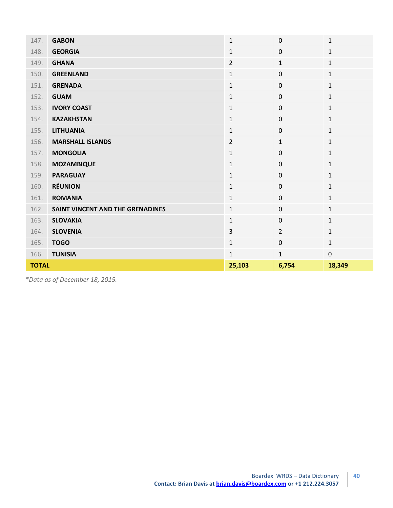| 147.         | <b>GABON</b>                     | $\mathbf{1}$   | $\mathbf 0$  | $\mathbf{1}$ |
|--------------|----------------------------------|----------------|--------------|--------------|
| 148.         | <b>GEORGIA</b>                   | $\mathbf{1}$   | $\mathbf 0$  | $\mathbf{1}$ |
| 149.         | <b>GHANA</b>                     | $\overline{2}$ | $\mathbf{1}$ | $\mathbf{1}$ |
| 150.         | <b>GREENLAND</b>                 | $\mathbf{1}$   | $\mathbf 0$  | $\mathbf{1}$ |
| 151.         | <b>GRENADA</b>                   | $\mathbf{1}$   | $\mathbf 0$  | $\mathbf{1}$ |
| 152.         | <b>GUAM</b>                      | $\mathbf{1}$   | $\mathbf 0$  | $\mathbf{1}$ |
| 153.         | <b>IVORY COAST</b>               | $\mathbf{1}$   | $\mathbf 0$  | $\mathbf{1}$ |
| 154.         | <b>KAZAKHSTAN</b>                | $\mathbf{1}$   | $\mathbf 0$  | $\mathbf{1}$ |
| 155.         | <b>LITHUANIA</b>                 | $\mathbf{1}$   | $\mathbf 0$  | $\mathbf{1}$ |
| 156.         | <b>MARSHALL ISLANDS</b>          | $\overline{2}$ | $\mathbf{1}$ | $\mathbf{1}$ |
| 157.         | <b>MONGOLIA</b>                  | $\mathbf{1}$   | $\mathbf 0$  | $\mathbf{1}$ |
| 158.         | <b>MOZAMBIQUE</b>                | $\mathbf{1}$   | $\mathbf 0$  | $\mathbf{1}$ |
| 159.         | <b>PARAGUAY</b>                  | $\mathbf{1}$   | $\mathbf 0$  | $\mathbf{1}$ |
| 160.         | <b>RÉUNION</b>                   | $\mathbf{1}$   | $\mathbf 0$  | $\mathbf{1}$ |
| 161.         | <b>ROMANIA</b>                   | $\mathbf{1}$   | $\mathbf 0$  | $\mathbf{1}$ |
| 162.         | SAINT VINCENT AND THE GRENADINES | $\mathbf{1}$   | $\mathbf 0$  | $\mathbf{1}$ |
| 163.         | <b>SLOVAKIA</b>                  | $\mathbf{1}$   | $\mathbf 0$  | $\mathbf{1}$ |
| 164.         | <b>SLOVENIA</b>                  | 3              | 2            | $\mathbf{1}$ |
| 165.         | <b>TOGO</b>                      | $\mathbf{1}$   | $\mathbf 0$  | $\mathbf{1}$ |
| 166.         | <b>TUNISIA</b>                   | $\mathbf{1}$   | $\mathbf{1}$ | $\pmb{0}$    |
| <b>TOTAL</b> |                                  | 25,103         | 6,754        | 18,349       |

*\*Data as of December 18, 2015.*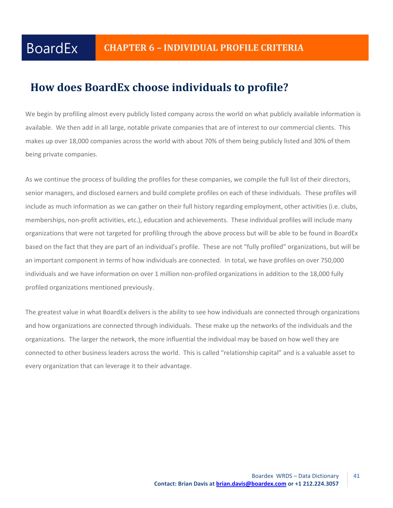# BoardEx **CHAPTER 6 – INDIVIDUAL PROFILE CRITERIA**

## **How does BoardEx choose individuals to profile?**

We begin by profiling almost every publicly listed company across the world on what publicly available information is available. We then add in all large, notable private companies that are of interest to our commercial clients. This makes up over 18,000 companies across the world with about 70% of them being publicly listed and 30% of them being private companies.

As we continue the process of building the profiles for these companies, we compile the full list of their directors, senior managers, and disclosed earners and build complete profiles on each of these individuals. These profiles will include as much information as we can gather on their full history regarding employment, other activities (i.e. clubs, memberships, non-profit activities, etc.), education and achievements. These individual profiles will include many organizations that were not targeted for profiling through the above process but will be able to be found in BoardEx based on the fact that they are part of an individual's profile. These are not "fully profiled" organizations, but will be an important component in terms of how individuals are connected. In total, we have profiles on over 750,000 individuals and we have information on over 1 million non-profiled organizations in addition to the 18,000 fully profiled organizations mentioned previously.

The greatest value in what BoardEx delivers is the ability to see how individuals are connected through organizations and how organizations are connected through individuals. These make up the networks of the individuals and the organizations. The larger the network, the more influential the individual may be based on how well they are connected to other business leaders across the world. This is called "relationship capital" and is a valuable asset to every organization that can leverage it to their advantage.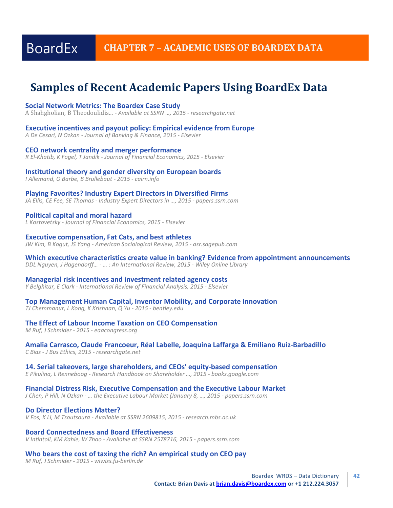## **Samples of Recent Academic Papers Using BoardEx Data**

**Social Network Metrics: The Boardex Case Study**  A Shahgholian*,* B Theodoulidis*… - Available at SSRN …, 2015 - researchgate.net* 

**Executive incentives and payout policy: Empirical evidence from Europe**  *A De Cesari, N Ozkan - Journal of Banking & Finance, 2015 - Elsevier* 

**CEO network centrality and merger performance**  *R El-Khatib, K Fogel, T Jandik - Journal of Financial Economics, 2015 - Elsevier* 

**Institutional theory and gender diversity on European boards**  *I Allemand, O Barbe, B Brullebaut - 2015 - cairn.info* 

**Playing Favorites? Industry Expert Directors in Diversified Firms**  *JA Ellis, CE Fee, SE Thomas - Industry Expert Directors in …, 2015 - papers.ssrn.com* 

**Political capital and moral hazard**  *L Kostovetsky - Journal of Financial Economics, 2015 - Elsevier* 

**Executive compensation, Fat Cats, and best athletes** *JW Kim, B Kogut, JS Yang - American Sociological Review, 2015 - asr.sagepub.com* 

**Which executive characteristics create value in banking? Evidence from appointment announcements**  *DDL Nguyen, J Hagendorff… - … : An International Review, 2015 - Wiley Online Library* 

**Managerial risk incentives and investment related agency costs**  *Y Belghitar, E Clark - International Review of Financial Analysis, 2015 - Elsevier* 

**Top Management Human Capital, Inventor Mobility, and Corporate Innovation**  *TJ Chemmanur, L Kong, K Krishnan, Q Yu - 2015 - bentley.edu* 

**The Effect of Labour Income Taxation on CEO Compensation**  *M Ruf, J Schmider - 2015 - eaacongress.org* 

**Amalia Carrasco, Claude Francoeur, Réal Labelle, Joaquina Laffarga & Emiliano Ruiz-Barbadillo**  *C Bias - J Bus Ethics, 2015 - researchgate.net* 

**14. Serial takeovers, large shareholders, and CEOs' equity-based compensation**  *E Pikulina, L Renneboog - Research Handbook on Shareholder …, 2015 - books.google.com* 

**Financial Distress Risk, Executive Compensation and the Executive Labour Market**  *J Chen, P Hill, N Ozkan - … the Executive Labour Market (January 8, …, 2015 - papers.ssrn.com* 

**Do Director Elections Matter?**  *V Fos, K Li, M Tsoutsoura - Available at SSRN 2609815, 2015 - research.mbs.ac.uk* 

**Board Connectedness and Board Effectiveness**  *V Intintoli, KM Kahle, W Zhao - Available at SSRN 2578716, 2015 - papers.ssrn.com* 

**Who bears the cost of taxing the rich? An empirical study on CEO pay**  *M Ruf, J Schmider - 2015 - wiwiss.fu-berlin.de* 

> Boardex WRDS – Data Dictionary **Contact: Brian Davis at brian.davis@boardex.com or +1 212.224.3057 42**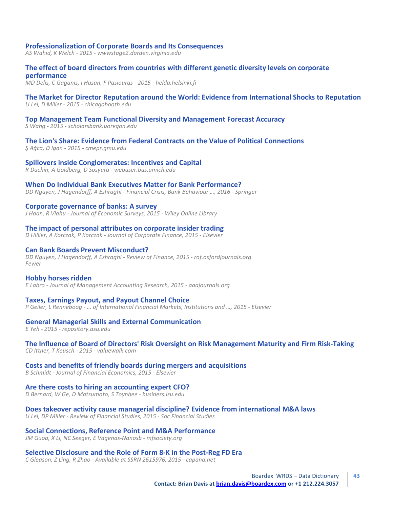#### **Professionalization of Corporate Boards and Its Consequences**

*AS Wahid, K Welch - 2015 - wwwstage2.darden.virginia.edu* 

#### **The effect of board directors from countries with different genetic diversity levels on corporate performance**

*MD Delis, C Gaganis, I Hasan, F Pasiouras - 2015 - helda.helsinki.fi* 

#### **The Market for Director Reputation around the World: Evidence from International Shocks to Reputation**  *U Lel, D Miller - 2015 - chicagobooth.edu*

#### **Top Management Team Functional Diversity and Management Forecast Accuracy**

*S Wang - 2015 - scholarsbank.uoregon.edu* 

**The Lion's Share: Evidence from Federal Contracts on the Value of Political Connections** 

*Ş Ağca, D Igan - 2015 - cmepr.gmu.edu* 

**Spillovers inside Conglomerates: Incentives and Capital**  *R Duchin, A Goldberg, D Sosyura - webuser.bus.umich.edu* 

#### **When Do Individual Bank Executives Matter for Bank Performance?**

*DD Nguyen, J Hagendorff, A Eshraghi - Financial Crisis, Bank Behaviour …, 2016 - Springer* 

**Corporate governance of banks: A survey**  *J Haan, R Vlahu - Journal of Economic Surveys, 2015 - Wiley Online Library* 

### **The impact of personal attributes on corporate insider trading**

*D Hillier, A Korczak, P Korczak - Journal of Corporate Finance, 2015 - Elsevier* 

#### **Can Bank Boards Prevent Misconduct?**

*DD Nguyen, J Hagendorff, A Eshraghi - Review of Finance, 2015 - rof.oxfordjournals.org Fewer* 

#### **Hobby horses ridden**

*E Labro - Journal of Management Accounting Research, 2015 - aaajournals.org* 

#### **Taxes, Earnings Payout, and Payout Channel Choice**

*P Geiler, L Renneboog - … of International Financial Markets, Institutions and …, 2015 - Elsevier* 

#### **General Managerial Skills and External Communication**

*E Yeh - 2015 - repository.asu.edu* 

#### **The Influence of Board of Directors' Risk Oversight on Risk Management Maturity and Firm Risk-Taking**  *CD Ittner, T Keusch - 2015 - valuewalk.com*

**Costs and benefits of friendly boards during mergers and acquisitions**  *B Schmidt - Journal of Financial Economics, 2015 - Elsevier* 

**Are there costs to hiring an accounting expert CFO?**

*D Bernard, W Ge, D Matsumoto, S Toynbee - business.lsu.edu* 

#### **Does takeover activity cause managerial discipline? Evidence from international M&A laws**  *U Lel, DP Miller - Review of Financial Studies, 2015 - Soc Financial Studies*

**Social Connections, Reference Point and M&A Performance** 

*JM Guoa, X Li, NC Seeger, E Vagenas-Nanosb - mfsociety.org* 

#### **Selective Disclosure and the Role of Form 8-K in the Post-Reg FD Era**

*C Gleason, Z Ling, R Zhao - Available at SSRN 2615976, 2015 - capana.net*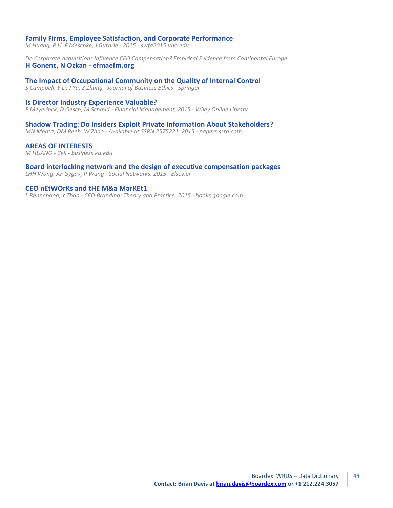#### **Family Firms, Employee Satisfaction, and Corporate Performance**

*M Huang, P Li, F Meschke, J Guthrie - 2015 - swfa2015.uno.edu* 

*Do Corporate Acquisitions Influence CEO Compensation? Empirical Evidence from Continental Europe*  **H Gonenc, N Ozkan - efmaefm.org** 

**The Impact of Occupational Community on the Quality of Internal Control**  *S Campbell, Y Li, J Yu, Z Zhang - Journal of Business Ethics - Springer* 

#### **Is Director Industry Experience Valuable?**

*F Meyerinck, D Oesch, M Schmid - Financial Management, 2015 - Wiley Online Library* 

**Shadow Trading: Do Insiders Exploit Private Information About Stakeholders?**  *MN Mehta, DM Reeb, W Zhao - Available at SSRN 2575221, 2015 - papers.ssrn.com* 

#### **AREAS OF INTERESTS**

*M HUANG - Cell - business.ku.edu* 

**Board interlocking network and the design of executive compensation packages**  *LHH Wong, AF Gygax, P Wang - Social Networks, 2015 - Elsevier* 

#### **CEO nEtWOrKs and tHE M&a MarKEt1**

*L Renneboog, Y Zhao - CEO Branding: Theory and Practice, 2015 - books.google.com*